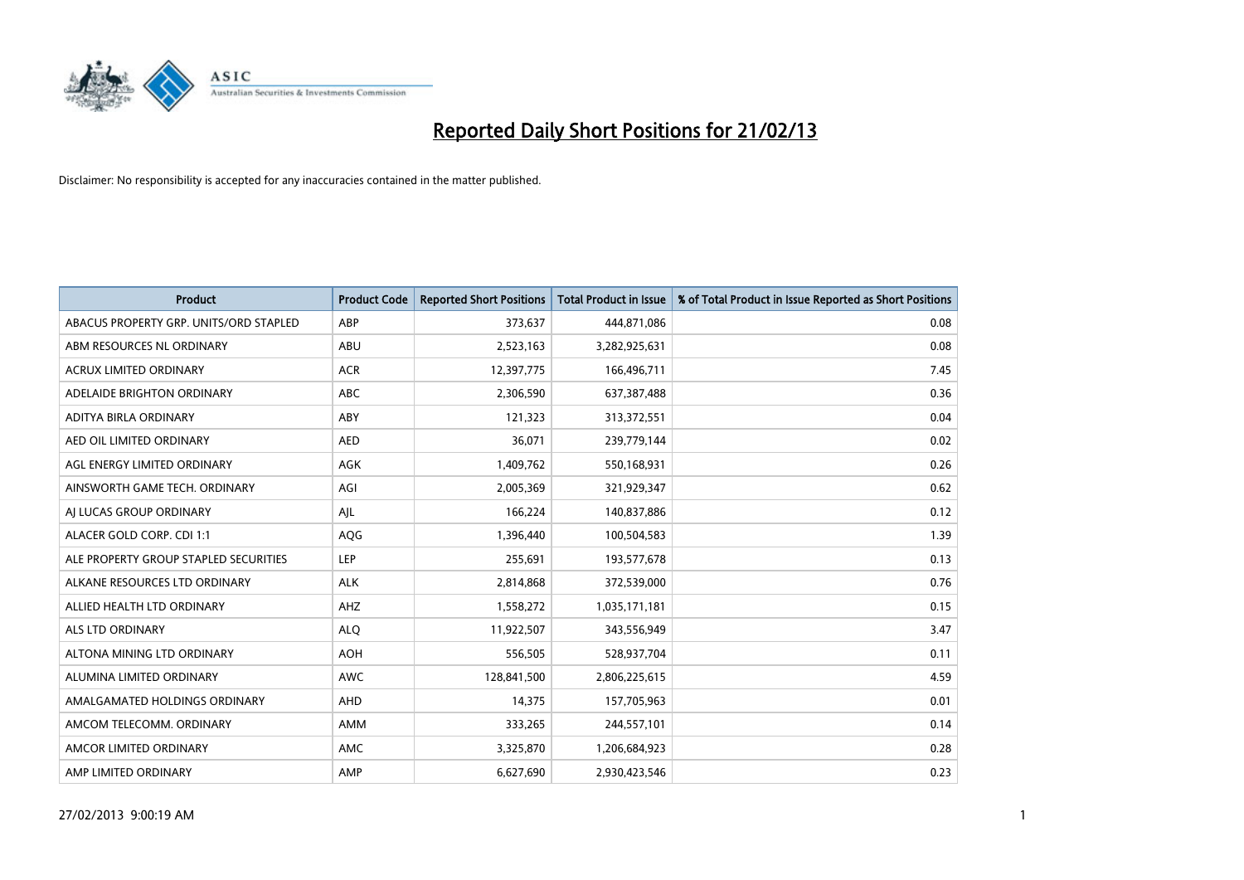

| <b>Product</b>                         | <b>Product Code</b> | <b>Reported Short Positions</b> | <b>Total Product in Issue</b> | % of Total Product in Issue Reported as Short Positions |
|----------------------------------------|---------------------|---------------------------------|-------------------------------|---------------------------------------------------------|
| ABACUS PROPERTY GRP. UNITS/ORD STAPLED | ABP                 | 373,637                         | 444,871,086                   | 0.08                                                    |
| ABM RESOURCES NL ORDINARY              | ABU                 | 2,523,163                       | 3,282,925,631                 | 0.08                                                    |
| <b>ACRUX LIMITED ORDINARY</b>          | <b>ACR</b>          | 12,397,775                      | 166,496,711                   | 7.45                                                    |
| ADELAIDE BRIGHTON ORDINARY             | <b>ABC</b>          | 2,306,590                       | 637,387,488                   | 0.36                                                    |
| ADITYA BIRLA ORDINARY                  | ABY                 | 121,323                         | 313,372,551                   | 0.04                                                    |
| AED OIL LIMITED ORDINARY               | <b>AED</b>          | 36,071                          | 239,779,144                   | 0.02                                                    |
| AGL ENERGY LIMITED ORDINARY            | AGK                 | 1,409,762                       | 550,168,931                   | 0.26                                                    |
| AINSWORTH GAME TECH. ORDINARY          | AGI                 | 2,005,369                       | 321,929,347                   | 0.62                                                    |
| AI LUCAS GROUP ORDINARY                | AJL                 | 166,224                         | 140,837,886                   | 0.12                                                    |
| ALACER GOLD CORP. CDI 1:1              | <b>AQG</b>          | 1,396,440                       | 100,504,583                   | 1.39                                                    |
| ALE PROPERTY GROUP STAPLED SECURITIES  | <b>LEP</b>          | 255,691                         | 193,577,678                   | 0.13                                                    |
| ALKANE RESOURCES LTD ORDINARY          | <b>ALK</b>          | 2,814,868                       | 372,539,000                   | 0.76                                                    |
| ALLIED HEALTH LTD ORDINARY             | AHZ                 | 1,558,272                       | 1,035,171,181                 | 0.15                                                    |
| <b>ALS LTD ORDINARY</b>                | <b>ALO</b>          | 11,922,507                      | 343,556,949                   | 3.47                                                    |
| ALTONA MINING LTD ORDINARY             | <b>AOH</b>          | 556,505                         | 528,937,704                   | 0.11                                                    |
| ALUMINA LIMITED ORDINARY               | AWC                 | 128,841,500                     | 2,806,225,615                 | 4.59                                                    |
| AMALGAMATED HOLDINGS ORDINARY          | AHD                 | 14,375                          | 157,705,963                   | 0.01                                                    |
| AMCOM TELECOMM. ORDINARY               | <b>AMM</b>          | 333,265                         | 244,557,101                   | 0.14                                                    |
| AMCOR LIMITED ORDINARY                 | AMC                 | 3,325,870                       | 1,206,684,923                 | 0.28                                                    |
| AMP LIMITED ORDINARY                   | AMP                 | 6,627,690                       | 2,930,423,546                 | 0.23                                                    |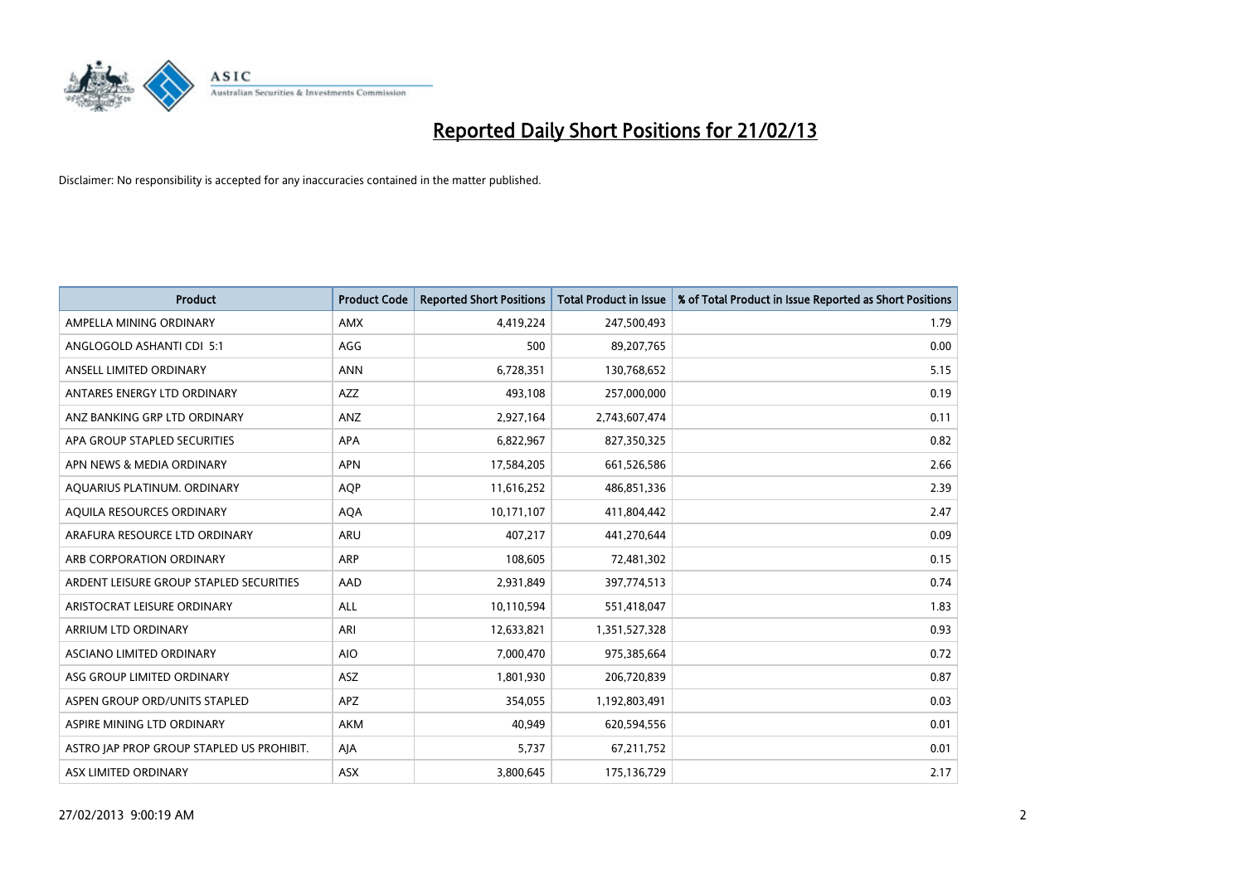

| <b>Product</b>                            | <b>Product Code</b> | <b>Reported Short Positions</b> | <b>Total Product in Issue</b> | % of Total Product in Issue Reported as Short Positions |
|-------------------------------------------|---------------------|---------------------------------|-------------------------------|---------------------------------------------------------|
| AMPELLA MINING ORDINARY                   | <b>AMX</b>          | 4,419,224                       | 247,500,493                   | 1.79                                                    |
| ANGLOGOLD ASHANTI CDI 5:1                 | AGG                 | 500                             | 89,207,765                    | 0.00                                                    |
| ANSELL LIMITED ORDINARY                   | <b>ANN</b>          | 6,728,351                       | 130,768,652                   | 5.15                                                    |
| ANTARES ENERGY LTD ORDINARY               | AZZ                 | 493,108                         | 257,000,000                   | 0.19                                                    |
| ANZ BANKING GRP LTD ORDINARY              | ANZ                 | 2,927,164                       | 2,743,607,474                 | 0.11                                                    |
| APA GROUP STAPLED SECURITIES              | <b>APA</b>          | 6,822,967                       | 827,350,325                   | 0.82                                                    |
| APN NEWS & MEDIA ORDINARY                 | <b>APN</b>          | 17,584,205                      | 661,526,586                   | 2.66                                                    |
| AQUARIUS PLATINUM. ORDINARY               | <b>AQP</b>          | 11,616,252                      | 486,851,336                   | 2.39                                                    |
| AQUILA RESOURCES ORDINARY                 | <b>AQA</b>          | 10,171,107                      | 411,804,442                   | 2.47                                                    |
| ARAFURA RESOURCE LTD ORDINARY             | ARU                 | 407,217                         | 441,270,644                   | 0.09                                                    |
| ARB CORPORATION ORDINARY                  | ARP                 | 108,605                         | 72,481,302                    | 0.15                                                    |
| ARDENT LEISURE GROUP STAPLED SECURITIES   | AAD                 | 2,931,849                       | 397,774,513                   | 0.74                                                    |
| ARISTOCRAT LEISURE ORDINARY               | ALL                 | 10,110,594                      | 551,418,047                   | 1.83                                                    |
| ARRIUM LTD ORDINARY                       | ARI                 | 12,633,821                      | 1,351,527,328                 | 0.93                                                    |
| ASCIANO LIMITED ORDINARY                  | <b>AIO</b>          | 7,000,470                       | 975,385,664                   | 0.72                                                    |
| ASG GROUP LIMITED ORDINARY                | ASZ                 | 1,801,930                       | 206,720,839                   | 0.87                                                    |
| ASPEN GROUP ORD/UNITS STAPLED             | APZ                 | 354,055                         | 1,192,803,491                 | 0.03                                                    |
| ASPIRE MINING LTD ORDINARY                | <b>AKM</b>          | 40.949                          | 620,594,556                   | 0.01                                                    |
| ASTRO JAP PROP GROUP STAPLED US PROHIBIT. | AJA                 | 5,737                           | 67,211,752                    | 0.01                                                    |
| ASX LIMITED ORDINARY                      | ASX                 | 3,800,645                       | 175,136,729                   | 2.17                                                    |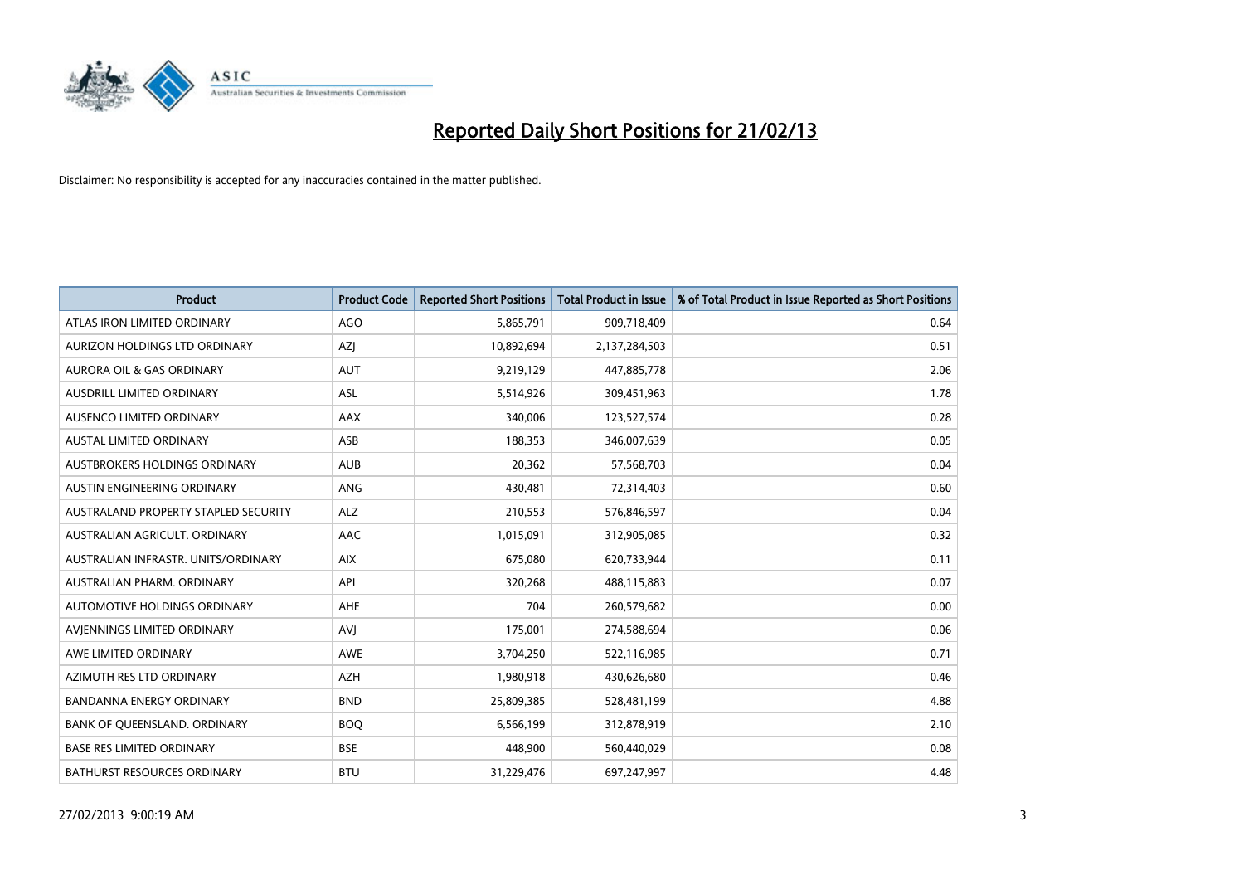

| <b>Product</b>                       | <b>Product Code</b> | <b>Reported Short Positions</b> | <b>Total Product in Issue</b> | % of Total Product in Issue Reported as Short Positions |
|--------------------------------------|---------------------|---------------------------------|-------------------------------|---------------------------------------------------------|
| ATLAS IRON LIMITED ORDINARY          | AGO                 | 5,865,791                       | 909,718,409                   | 0.64                                                    |
| AURIZON HOLDINGS LTD ORDINARY        | AZJ                 | 10,892,694                      | 2,137,284,503                 | 0.51                                                    |
| AURORA OIL & GAS ORDINARY            | <b>AUT</b>          | 9,219,129                       | 447,885,778                   | 2.06                                                    |
| AUSDRILL LIMITED ORDINARY            | <b>ASL</b>          | 5,514,926                       | 309,451,963                   | 1.78                                                    |
| AUSENCO LIMITED ORDINARY             | AAX                 | 340,006                         | 123,527,574                   | 0.28                                                    |
| <b>AUSTAL LIMITED ORDINARY</b>       | ASB                 | 188,353                         | 346,007,639                   | 0.05                                                    |
| AUSTBROKERS HOLDINGS ORDINARY        | <b>AUB</b>          | 20,362                          | 57,568,703                    | 0.04                                                    |
| AUSTIN ENGINEERING ORDINARY          | ANG                 | 430,481                         | 72,314,403                    | 0.60                                                    |
| AUSTRALAND PROPERTY STAPLED SECURITY | <b>ALZ</b>          | 210,553                         | 576,846,597                   | 0.04                                                    |
| AUSTRALIAN AGRICULT, ORDINARY        | <b>AAC</b>          | 1,015,091                       | 312,905,085                   | 0.32                                                    |
| AUSTRALIAN INFRASTR. UNITS/ORDINARY  | <b>AIX</b>          | 675,080                         | 620,733,944                   | 0.11                                                    |
| AUSTRALIAN PHARM, ORDINARY           | API                 | 320,268                         | 488,115,883                   | 0.07                                                    |
| AUTOMOTIVE HOLDINGS ORDINARY         | AHE                 | 704                             | 260,579,682                   | 0.00                                                    |
| AVIENNINGS LIMITED ORDINARY          | <b>AVJ</b>          | 175,001                         | 274,588,694                   | 0.06                                                    |
| AWE LIMITED ORDINARY                 | AWE                 | 3,704,250                       | 522,116,985                   | 0.71                                                    |
| AZIMUTH RES LTD ORDINARY             | <b>AZH</b>          | 1,980,918                       | 430,626,680                   | 0.46                                                    |
| <b>BANDANNA ENERGY ORDINARY</b>      | <b>BND</b>          | 25,809,385                      | 528,481,199                   | 4.88                                                    |
| BANK OF QUEENSLAND. ORDINARY         | <b>BOO</b>          | 6,566,199                       | 312,878,919                   | 2.10                                                    |
| <b>BASE RES LIMITED ORDINARY</b>     | <b>BSE</b>          | 448,900                         | 560,440,029                   | 0.08                                                    |
| <b>BATHURST RESOURCES ORDINARY</b>   | <b>BTU</b>          | 31,229,476                      | 697,247,997                   | 4.48                                                    |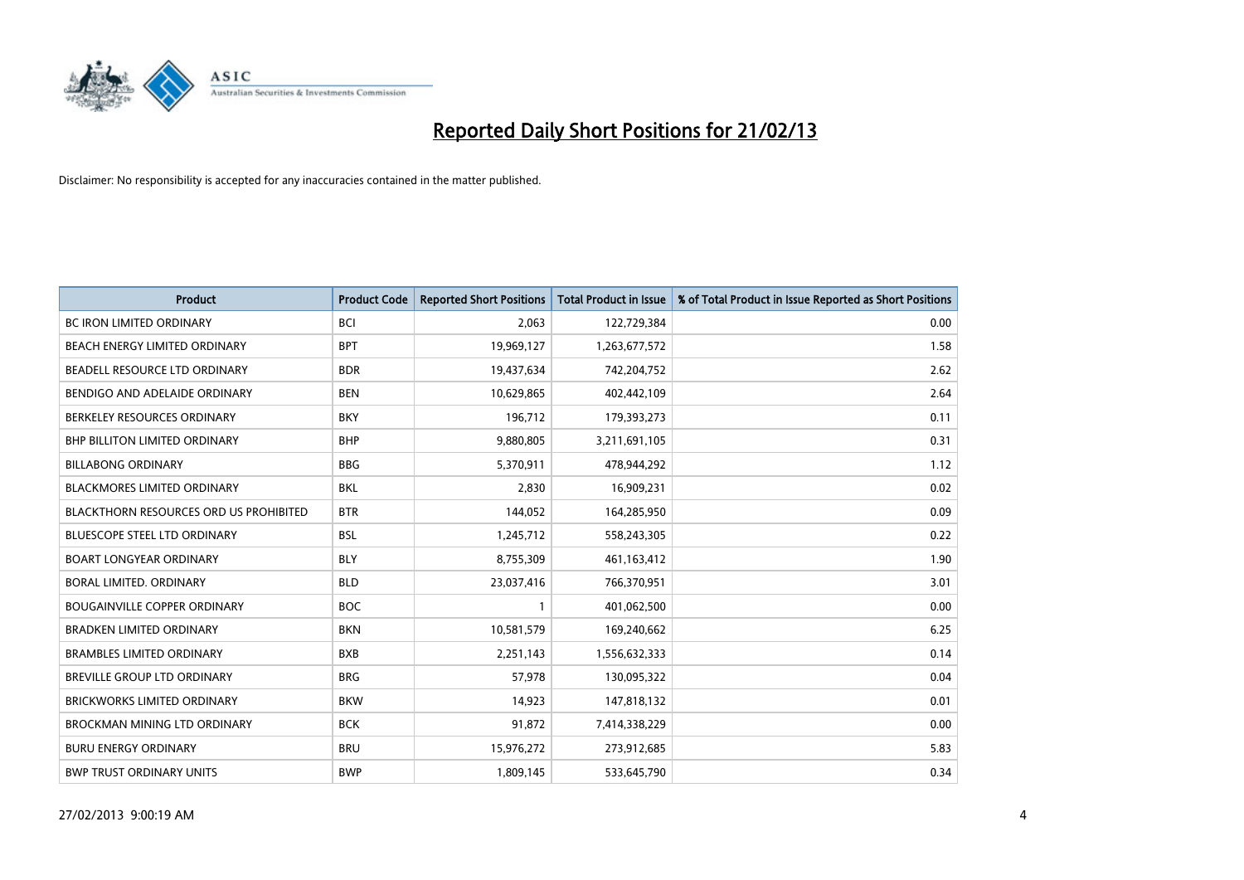

| <b>Product</b>                                | <b>Product Code</b> | <b>Reported Short Positions</b> | <b>Total Product in Issue</b> | % of Total Product in Issue Reported as Short Positions |
|-----------------------------------------------|---------------------|---------------------------------|-------------------------------|---------------------------------------------------------|
| <b>BC IRON LIMITED ORDINARY</b>               | <b>BCI</b>          | 2,063                           | 122,729,384                   | 0.00                                                    |
| <b>BEACH ENERGY LIMITED ORDINARY</b>          | <b>BPT</b>          | 19,969,127                      | 1,263,677,572                 | 1.58                                                    |
| BEADELL RESOURCE LTD ORDINARY                 | <b>BDR</b>          | 19,437,634                      | 742,204,752                   | 2.62                                                    |
| BENDIGO AND ADELAIDE ORDINARY                 | <b>BEN</b>          | 10,629,865                      | 402,442,109                   | 2.64                                                    |
| BERKELEY RESOURCES ORDINARY                   | <b>BKY</b>          | 196,712                         | 179,393,273                   | 0.11                                                    |
| <b>BHP BILLITON LIMITED ORDINARY</b>          | <b>BHP</b>          | 9,880,805                       | 3,211,691,105                 | 0.31                                                    |
| <b>BILLABONG ORDINARY</b>                     | <b>BBG</b>          | 5,370,911                       | 478,944,292                   | 1.12                                                    |
| <b>BLACKMORES LIMITED ORDINARY</b>            | <b>BKL</b>          | 2,830                           | 16,909,231                    | 0.02                                                    |
| <b>BLACKTHORN RESOURCES ORD US PROHIBITED</b> | <b>BTR</b>          | 144,052                         | 164,285,950                   | 0.09                                                    |
| <b>BLUESCOPE STEEL LTD ORDINARY</b>           | <b>BSL</b>          | 1,245,712                       | 558,243,305                   | 0.22                                                    |
| <b>BOART LONGYEAR ORDINARY</b>                | <b>BLY</b>          | 8,755,309                       | 461,163,412                   | 1.90                                                    |
| BORAL LIMITED, ORDINARY                       | <b>BLD</b>          | 23,037,416                      | 766,370,951                   | 3.01                                                    |
| <b>BOUGAINVILLE COPPER ORDINARY</b>           | <b>BOC</b>          | $\mathbf{1}$                    | 401,062,500                   | 0.00                                                    |
| <b>BRADKEN LIMITED ORDINARY</b>               | <b>BKN</b>          | 10,581,579                      | 169,240,662                   | 6.25                                                    |
| <b>BRAMBLES LIMITED ORDINARY</b>              | <b>BXB</b>          | 2,251,143                       | 1,556,632,333                 | 0.14                                                    |
| <b>BREVILLE GROUP LTD ORDINARY</b>            | <b>BRG</b>          | 57,978                          | 130,095,322                   | 0.04                                                    |
| <b>BRICKWORKS LIMITED ORDINARY</b>            | <b>BKW</b>          | 14,923                          | 147,818,132                   | 0.01                                                    |
| BROCKMAN MINING LTD ORDINARY                  | <b>BCK</b>          | 91,872                          | 7,414,338,229                 | 0.00                                                    |
| <b>BURU ENERGY ORDINARY</b>                   | <b>BRU</b>          | 15,976,272                      | 273,912,685                   | 5.83                                                    |
| <b>BWP TRUST ORDINARY UNITS</b>               | <b>BWP</b>          | 1,809,145                       | 533,645,790                   | 0.34                                                    |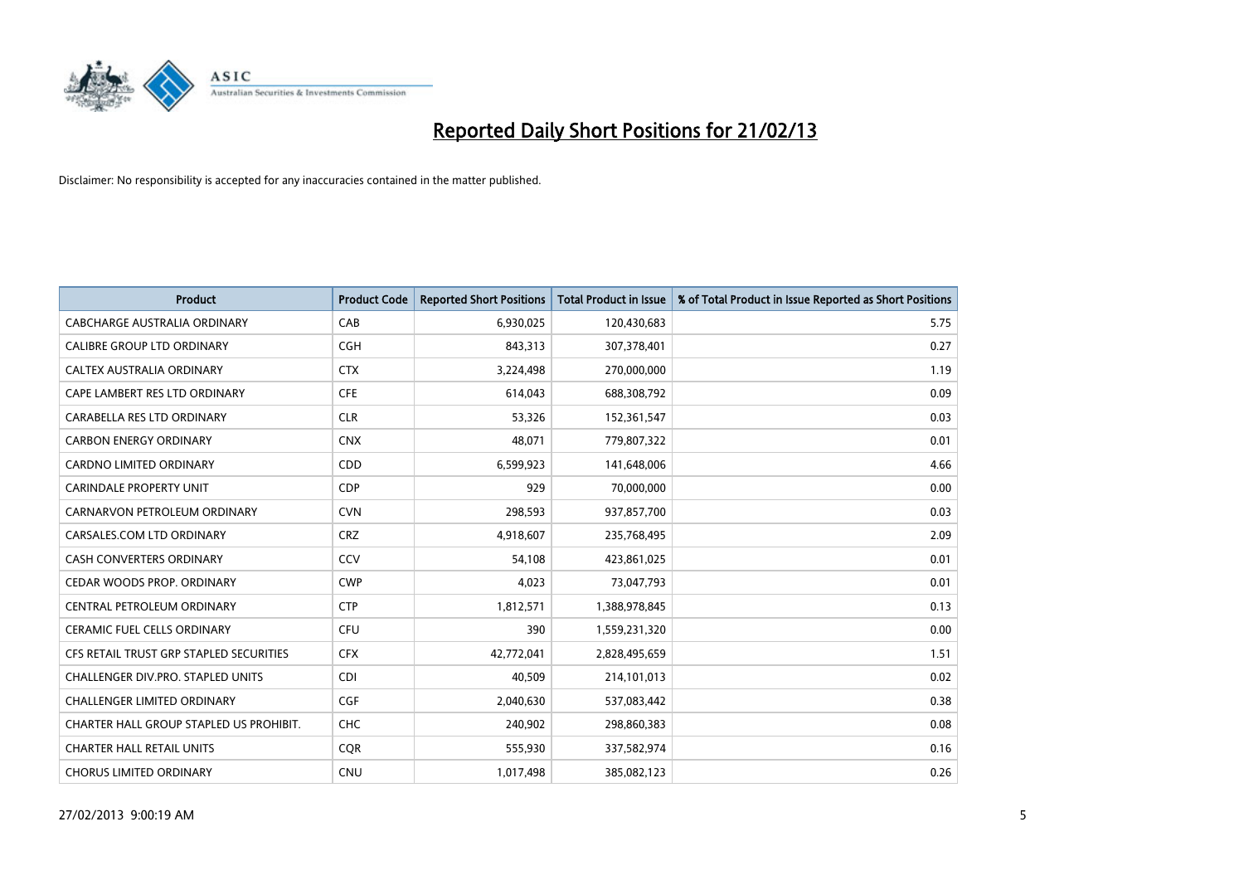

| <b>Product</b>                          | <b>Product Code</b> | <b>Reported Short Positions</b> | <b>Total Product in Issue</b> | % of Total Product in Issue Reported as Short Positions |
|-----------------------------------------|---------------------|---------------------------------|-------------------------------|---------------------------------------------------------|
| <b>CABCHARGE AUSTRALIA ORDINARY</b>     | CAB                 | 6,930,025                       | 120,430,683                   | 5.75                                                    |
| CALIBRE GROUP LTD ORDINARY              | <b>CGH</b>          | 843,313                         | 307,378,401                   | 0.27                                                    |
| CALTEX AUSTRALIA ORDINARY               | <b>CTX</b>          | 3,224,498                       | 270,000,000                   | 1.19                                                    |
| CAPE LAMBERT RES LTD ORDINARY           | <b>CFE</b>          | 614,043                         | 688,308,792                   | 0.09                                                    |
| CARABELLA RES LTD ORDINARY              | <b>CLR</b>          | 53,326                          | 152,361,547                   | 0.03                                                    |
| <b>CARBON ENERGY ORDINARY</b>           | <b>CNX</b>          | 48,071                          | 779,807,322                   | 0.01                                                    |
| <b>CARDNO LIMITED ORDINARY</b>          | CDD                 | 6,599,923                       | 141,648,006                   | 4.66                                                    |
| CARINDALE PROPERTY UNIT                 | <b>CDP</b>          | 929                             | 70,000,000                    | 0.00                                                    |
| CARNARVON PETROLEUM ORDINARY            | <b>CVN</b>          | 298,593                         | 937,857,700                   | 0.03                                                    |
| CARSALES.COM LTD ORDINARY               | <b>CRZ</b>          | 4,918,607                       | 235,768,495                   | 2.09                                                    |
| CASH CONVERTERS ORDINARY                | CCV                 | 54,108                          | 423,861,025                   | 0.01                                                    |
| CEDAR WOODS PROP. ORDINARY              | <b>CWP</b>          | 4,023                           | 73,047,793                    | 0.01                                                    |
| CENTRAL PETROLEUM ORDINARY              | <b>CTP</b>          | 1,812,571                       | 1,388,978,845                 | 0.13                                                    |
| <b>CERAMIC FUEL CELLS ORDINARY</b>      | <b>CFU</b>          | 390                             | 1,559,231,320                 | 0.00                                                    |
| CFS RETAIL TRUST GRP STAPLED SECURITIES | <b>CFX</b>          | 42,772,041                      | 2,828,495,659                 | 1.51                                                    |
| CHALLENGER DIV.PRO. STAPLED UNITS       | <b>CDI</b>          | 40,509                          | 214,101,013                   | 0.02                                                    |
| CHALLENGER LIMITED ORDINARY             | <b>CGF</b>          | 2,040,630                       | 537,083,442                   | 0.38                                                    |
| CHARTER HALL GROUP STAPLED US PROHIBIT. | <b>CHC</b>          | 240,902                         | 298,860,383                   | 0.08                                                    |
| <b>CHARTER HALL RETAIL UNITS</b>        | <b>CQR</b>          | 555,930                         | 337,582,974                   | 0.16                                                    |
| <b>CHORUS LIMITED ORDINARY</b>          | <b>CNU</b>          | 1,017,498                       | 385,082,123                   | 0.26                                                    |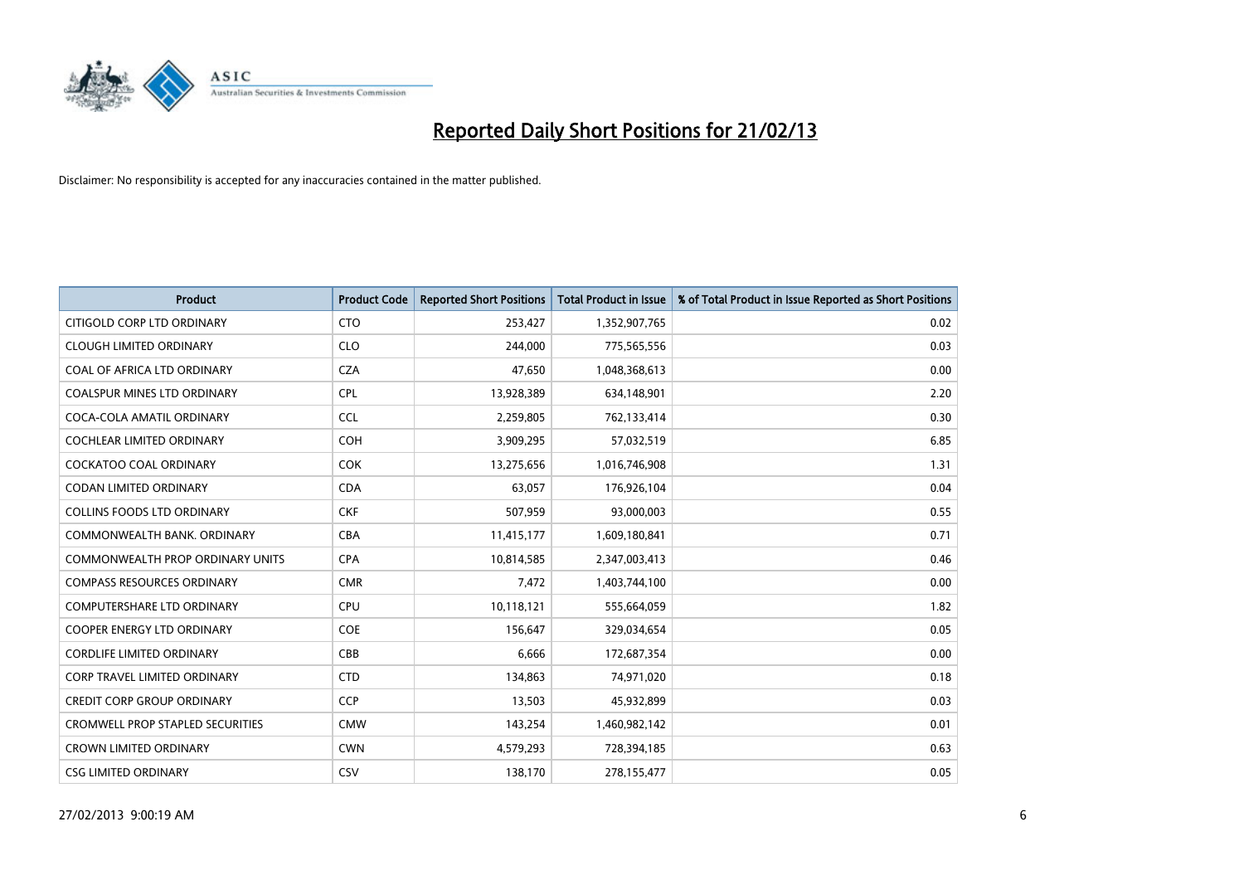

| <b>Product</b>                          | <b>Product Code</b> | <b>Reported Short Positions</b> | <b>Total Product in Issue</b> | % of Total Product in Issue Reported as Short Positions |
|-----------------------------------------|---------------------|---------------------------------|-------------------------------|---------------------------------------------------------|
| CITIGOLD CORP LTD ORDINARY              | <b>CTO</b>          | 253,427                         | 1,352,907,765                 | 0.02                                                    |
| <b>CLOUGH LIMITED ORDINARY</b>          | <b>CLO</b>          | 244,000                         | 775,565,556                   | 0.03                                                    |
| COAL OF AFRICA LTD ORDINARY             | <b>CZA</b>          | 47,650                          | 1,048,368,613                 | 0.00                                                    |
| <b>COALSPUR MINES LTD ORDINARY</b>      | <b>CPL</b>          | 13,928,389                      | 634,148,901                   | 2.20                                                    |
| COCA-COLA AMATIL ORDINARY               | <b>CCL</b>          | 2,259,805                       | 762,133,414                   | 0.30                                                    |
| <b>COCHLEAR LIMITED ORDINARY</b>        | COH                 | 3,909,295                       | 57,032,519                    | 6.85                                                    |
| COCKATOO COAL ORDINARY                  | <b>COK</b>          | 13,275,656                      | 1,016,746,908                 | 1.31                                                    |
| CODAN LIMITED ORDINARY                  | <b>CDA</b>          | 63,057                          | 176,926,104                   | 0.04                                                    |
| <b>COLLINS FOODS LTD ORDINARY</b>       | <b>CKF</b>          | 507,959                         | 93,000,003                    | 0.55                                                    |
| COMMONWEALTH BANK, ORDINARY             | <b>CBA</b>          | 11,415,177                      | 1,609,180,841                 | 0.71                                                    |
| COMMONWEALTH PROP ORDINARY UNITS        | <b>CPA</b>          | 10,814,585                      | 2,347,003,413                 | 0.46                                                    |
| <b>COMPASS RESOURCES ORDINARY</b>       | <b>CMR</b>          | 7,472                           | 1,403,744,100                 | 0.00                                                    |
| <b>COMPUTERSHARE LTD ORDINARY</b>       | <b>CPU</b>          | 10,118,121                      | 555,664,059                   | 1.82                                                    |
| <b>COOPER ENERGY LTD ORDINARY</b>       | <b>COE</b>          | 156,647                         | 329,034,654                   | 0.05                                                    |
| <b>CORDLIFE LIMITED ORDINARY</b>        | CBB                 | 6,666                           | 172,687,354                   | 0.00                                                    |
| <b>CORP TRAVEL LIMITED ORDINARY</b>     | <b>CTD</b>          | 134,863                         | 74,971,020                    | 0.18                                                    |
| <b>CREDIT CORP GROUP ORDINARY</b>       | <b>CCP</b>          | 13,503                          | 45,932,899                    | 0.03                                                    |
| <b>CROMWELL PROP STAPLED SECURITIES</b> | <b>CMW</b>          | 143,254                         | 1,460,982,142                 | 0.01                                                    |
| <b>CROWN LIMITED ORDINARY</b>           | <b>CWN</b>          | 4,579,293                       | 728,394,185                   | 0.63                                                    |
| <b>CSG LIMITED ORDINARY</b>             | CSV                 | 138,170                         | 278,155,477                   | 0.05                                                    |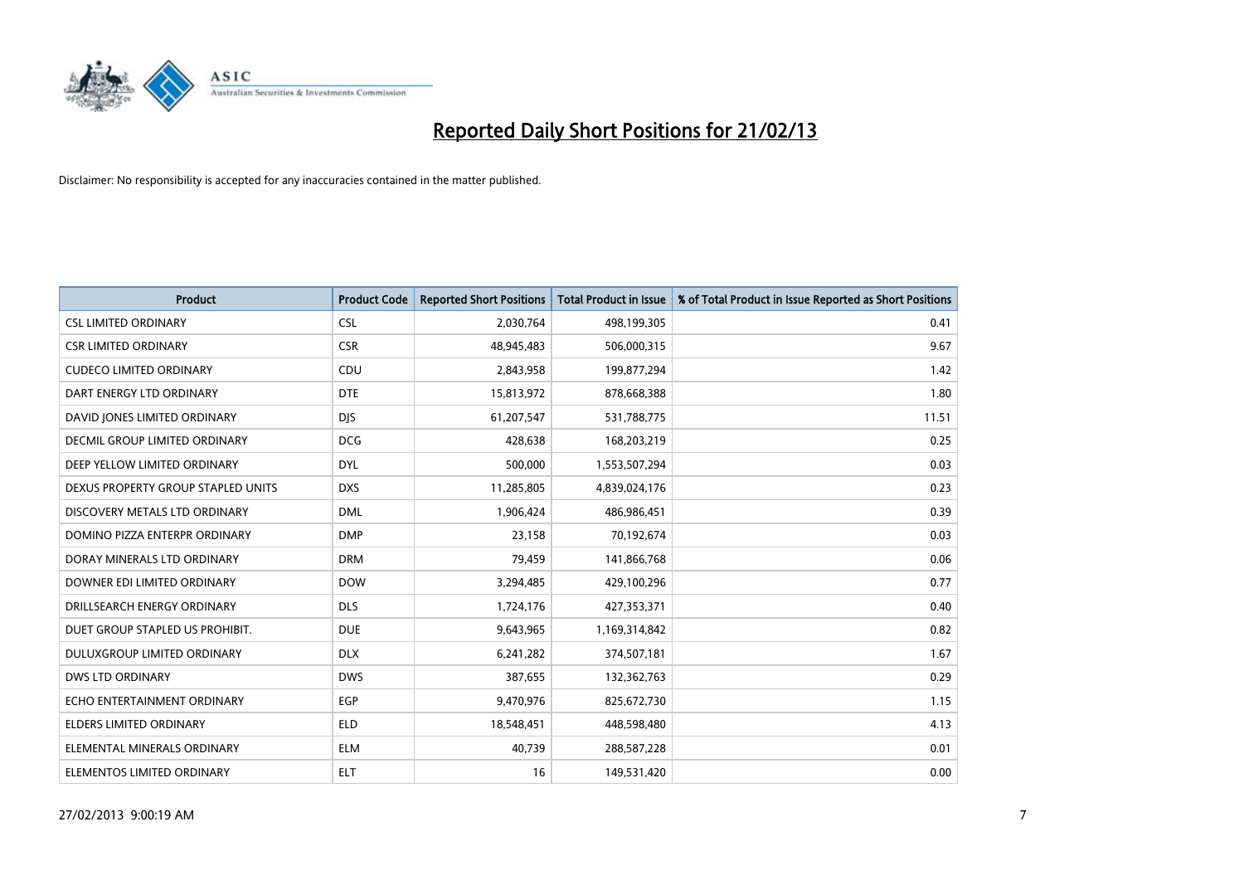

| <b>Product</b>                       | <b>Product Code</b> | <b>Reported Short Positions</b> | <b>Total Product in Issue</b> | % of Total Product in Issue Reported as Short Positions |
|--------------------------------------|---------------------|---------------------------------|-------------------------------|---------------------------------------------------------|
| <b>CSL LIMITED ORDINARY</b>          | <b>CSL</b>          | 2,030,764                       | 498,199,305                   | 0.41                                                    |
| <b>CSR LIMITED ORDINARY</b>          | <b>CSR</b>          | 48,945,483                      | 506,000,315                   | 9.67                                                    |
| <b>CUDECO LIMITED ORDINARY</b>       | CDU                 | 2,843,958                       | 199,877,294                   | 1.42                                                    |
| DART ENERGY LTD ORDINARY             | <b>DTE</b>          | 15,813,972                      | 878,668,388                   | 1.80                                                    |
| DAVID JONES LIMITED ORDINARY         | <b>DJS</b>          | 61,207,547                      | 531,788,775                   | 11.51                                                   |
| <b>DECMIL GROUP LIMITED ORDINARY</b> | <b>DCG</b>          | 428,638                         | 168,203,219                   | 0.25                                                    |
| DEEP YELLOW LIMITED ORDINARY         | <b>DYL</b>          | 500,000                         | 1,553,507,294                 | 0.03                                                    |
| DEXUS PROPERTY GROUP STAPLED UNITS   | <b>DXS</b>          | 11,285,805                      | 4,839,024,176                 | 0.23                                                    |
| DISCOVERY METALS LTD ORDINARY        | <b>DML</b>          | 1,906,424                       | 486,986,451                   | 0.39                                                    |
| DOMINO PIZZA ENTERPR ORDINARY        | <b>DMP</b>          | 23,158                          | 70,192,674                    | 0.03                                                    |
| DORAY MINERALS LTD ORDINARY          | <b>DRM</b>          | 79,459                          | 141,866,768                   | 0.06                                                    |
| DOWNER EDI LIMITED ORDINARY          | <b>DOW</b>          | 3,294,485                       | 429,100,296                   | 0.77                                                    |
| DRILLSEARCH ENERGY ORDINARY          | <b>DLS</b>          | 1,724,176                       | 427,353,371                   | 0.40                                                    |
| DUET GROUP STAPLED US PROHIBIT.      | <b>DUE</b>          | 9,643,965                       | 1,169,314,842                 | 0.82                                                    |
| <b>DULUXGROUP LIMITED ORDINARY</b>   | <b>DLX</b>          | 6,241,282                       | 374,507,181                   | 1.67                                                    |
| <b>DWS LTD ORDINARY</b>              | <b>DWS</b>          | 387,655                         | 132,362,763                   | 0.29                                                    |
| ECHO ENTERTAINMENT ORDINARY          | <b>EGP</b>          | 9,470,976                       | 825,672,730                   | 1.15                                                    |
| <b>ELDERS LIMITED ORDINARY</b>       | <b>ELD</b>          | 18,548,451                      | 448,598,480                   | 4.13                                                    |
| ELEMENTAL MINERALS ORDINARY          | <b>ELM</b>          | 40,739                          | 288,587,228                   | 0.01                                                    |
| ELEMENTOS LIMITED ORDINARY           | <b>ELT</b>          | 16                              | 149,531,420                   | 0.00                                                    |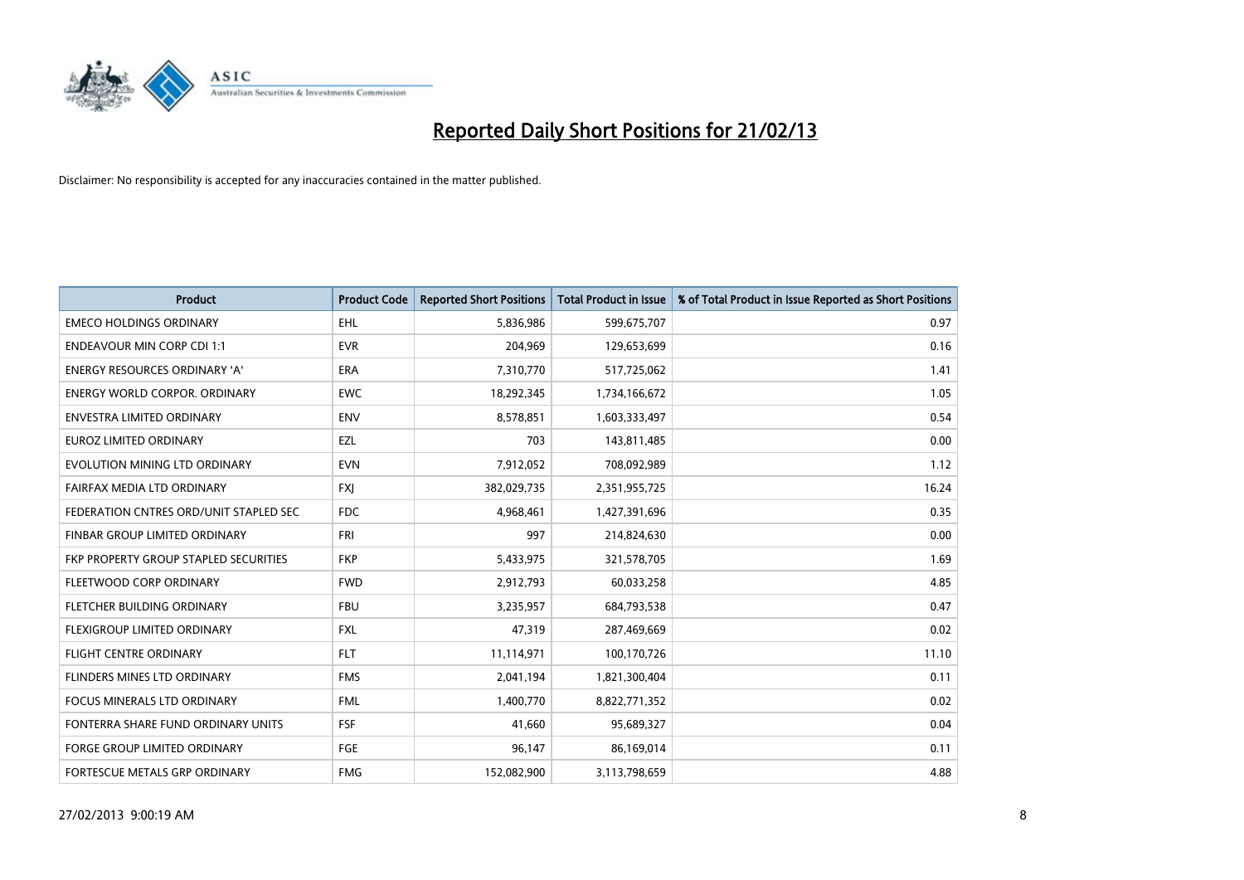

| <b>Product</b>                         | <b>Product Code</b> | <b>Reported Short Positions</b> | <b>Total Product in Issue</b> | % of Total Product in Issue Reported as Short Positions |
|----------------------------------------|---------------------|---------------------------------|-------------------------------|---------------------------------------------------------|
| <b>EMECO HOLDINGS ORDINARY</b>         | <b>EHL</b>          | 5,836,986                       | 599,675,707                   | 0.97                                                    |
| <b>ENDEAVOUR MIN CORP CDI 1:1</b>      | <b>EVR</b>          | 204,969                         | 129,653,699                   | 0.16                                                    |
| <b>ENERGY RESOURCES ORDINARY 'A'</b>   | <b>ERA</b>          | 7,310,770                       | 517,725,062                   | 1.41                                                    |
| ENERGY WORLD CORPOR. ORDINARY          | <b>EWC</b>          | 18,292,345                      | 1,734,166,672                 | 1.05                                                    |
| ENVESTRA LIMITED ORDINARY              | <b>ENV</b>          | 8,578,851                       | 1,603,333,497                 | 0.54                                                    |
| <b>EUROZ LIMITED ORDINARY</b>          | EZL                 | 703                             | 143,811,485                   | 0.00                                                    |
| EVOLUTION MINING LTD ORDINARY          | <b>EVN</b>          | 7,912,052                       | 708,092,989                   | 1.12                                                    |
| FAIRFAX MEDIA LTD ORDINARY             | <b>FXI</b>          | 382,029,735                     | 2,351,955,725                 | 16.24                                                   |
| FEDERATION CNTRES ORD/UNIT STAPLED SEC | <b>FDC</b>          | 4,968,461                       | 1,427,391,696                 | 0.35                                                    |
| FINBAR GROUP LIMITED ORDINARY          | FRI                 | 997                             | 214,824,630                   | 0.00                                                    |
| FKP PROPERTY GROUP STAPLED SECURITIES  | <b>FKP</b>          | 5,433,975                       | 321,578,705                   | 1.69                                                    |
| FLEETWOOD CORP ORDINARY                | <b>FWD</b>          | 2,912,793                       | 60,033,258                    | 4.85                                                    |
| FLETCHER BUILDING ORDINARY             | <b>FBU</b>          | 3,235,957                       | 684,793,538                   | 0.47                                                    |
| FLEXIGROUP LIMITED ORDINARY            | <b>FXL</b>          | 47,319                          | 287,469,669                   | 0.02                                                    |
| <b>FLIGHT CENTRE ORDINARY</b>          | <b>FLT</b>          | 11,114,971                      | 100,170,726                   | 11.10                                                   |
| FLINDERS MINES LTD ORDINARY            | <b>FMS</b>          | 2,041,194                       | 1,821,300,404                 | 0.11                                                    |
| FOCUS MINERALS LTD ORDINARY            | <b>FML</b>          | 1,400,770                       | 8,822,771,352                 | 0.02                                                    |
| FONTERRA SHARE FUND ORDINARY UNITS     | <b>FSF</b>          | 41,660                          | 95,689,327                    | 0.04                                                    |
| <b>FORGE GROUP LIMITED ORDINARY</b>    | FGE                 | 96,147                          | 86,169,014                    | 0.11                                                    |
| FORTESCUE METALS GRP ORDINARY          | <b>FMG</b>          | 152,082,900                     | 3,113,798,659                 | 4.88                                                    |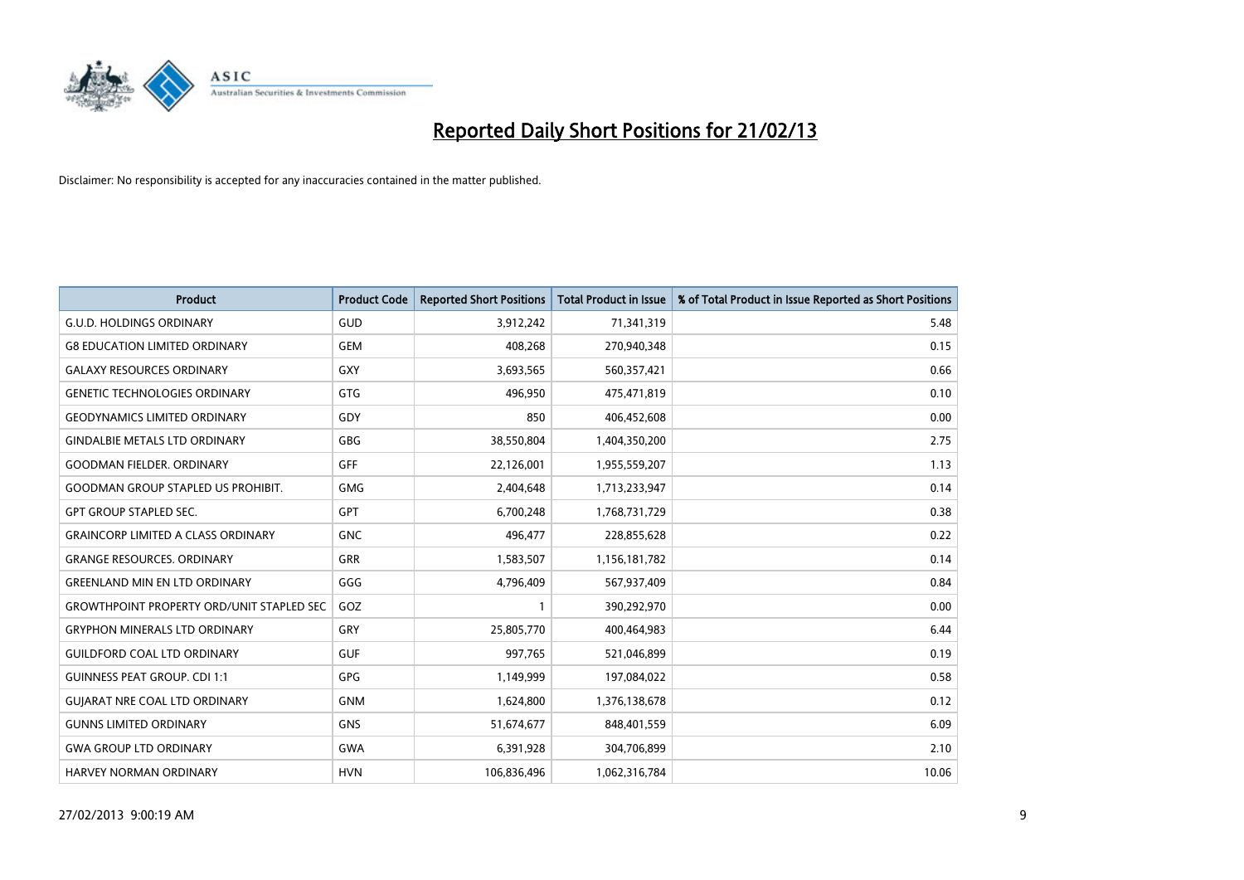

| <b>Product</b>                                   | <b>Product Code</b> | <b>Reported Short Positions</b> | <b>Total Product in Issue</b> | % of Total Product in Issue Reported as Short Positions |
|--------------------------------------------------|---------------------|---------------------------------|-------------------------------|---------------------------------------------------------|
| <b>G.U.D. HOLDINGS ORDINARY</b>                  | GUD                 | 3,912,242                       | 71,341,319                    | 5.48                                                    |
| <b>G8 EDUCATION LIMITED ORDINARY</b>             | <b>GEM</b>          | 408,268                         | 270,940,348                   | 0.15                                                    |
| <b>GALAXY RESOURCES ORDINARY</b>                 | <b>GXY</b>          | 3,693,565                       | 560,357,421                   | 0.66                                                    |
| <b>GENETIC TECHNOLOGIES ORDINARY</b>             | <b>GTG</b>          | 496,950                         | 475,471,819                   | 0.10                                                    |
| <b>GEODYNAMICS LIMITED ORDINARY</b>              | GDY                 | 850                             | 406,452,608                   | 0.00                                                    |
| <b>GINDALBIE METALS LTD ORDINARY</b>             | <b>GBG</b>          | 38,550,804                      | 1,404,350,200                 | 2.75                                                    |
| <b>GOODMAN FIELDER, ORDINARY</b>                 | <b>GFF</b>          | 22,126,001                      | 1,955,559,207                 | 1.13                                                    |
| <b>GOODMAN GROUP STAPLED US PROHIBIT.</b>        | <b>GMG</b>          | 2,404,648                       | 1,713,233,947                 | 0.14                                                    |
| <b>GPT GROUP STAPLED SEC.</b>                    | GPT                 | 6,700,248                       | 1,768,731,729                 | 0.38                                                    |
| <b>GRAINCORP LIMITED A CLASS ORDINARY</b>        | <b>GNC</b>          | 496,477                         | 228,855,628                   | 0.22                                                    |
| <b>GRANGE RESOURCES. ORDINARY</b>                | GRR                 | 1,583,507                       | 1,156,181,782                 | 0.14                                                    |
| <b>GREENLAND MIN EN LTD ORDINARY</b>             | GGG                 | 4,796,409                       | 567,937,409                   | 0.84                                                    |
| <b>GROWTHPOINT PROPERTY ORD/UNIT STAPLED SEC</b> | GOZ                 | $\mathbf{1}$                    | 390,292,970                   | 0.00                                                    |
| <b>GRYPHON MINERALS LTD ORDINARY</b>             | GRY                 | 25,805,770                      | 400,464,983                   | 6.44                                                    |
| <b>GUILDFORD COAL LTD ORDINARY</b>               | <b>GUF</b>          | 997,765                         | 521,046,899                   | 0.19                                                    |
| <b>GUINNESS PEAT GROUP. CDI 1:1</b>              | GPG                 | 1,149,999                       | 197,084,022                   | 0.58                                                    |
| <b>GUIARAT NRE COAL LTD ORDINARY</b>             | <b>GNM</b>          | 1,624,800                       | 1,376,138,678                 | 0.12                                                    |
| <b>GUNNS LIMITED ORDINARY</b>                    | <b>GNS</b>          | 51,674,677                      | 848,401,559                   | 6.09                                                    |
| <b>GWA GROUP LTD ORDINARY</b>                    | <b>GWA</b>          | 6,391,928                       | 304,706,899                   | 2.10                                                    |
| <b>HARVEY NORMAN ORDINARY</b>                    | <b>HVN</b>          | 106,836,496                     | 1,062,316,784                 | 10.06                                                   |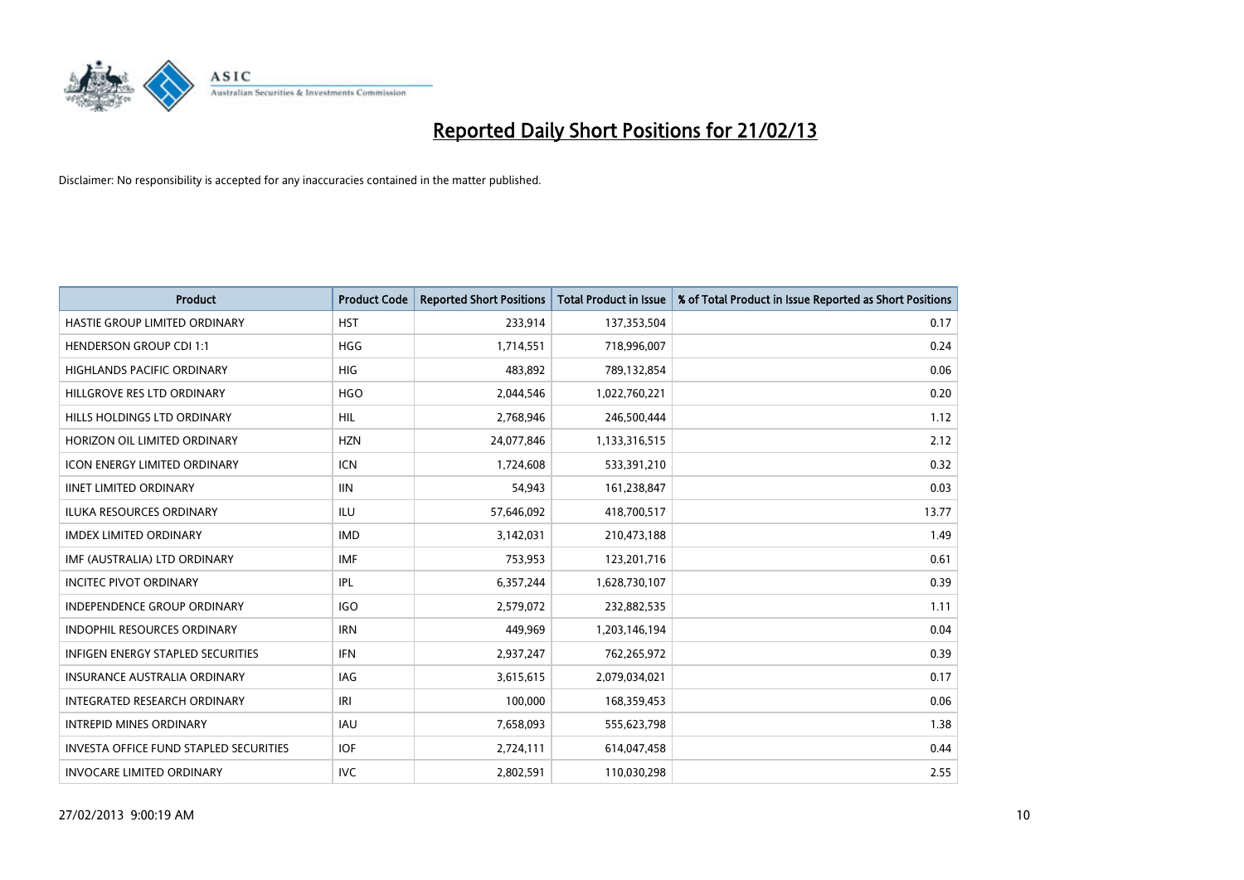

| <b>Product</b>                                | <b>Product Code</b> | <b>Reported Short Positions</b> | <b>Total Product in Issue</b> | % of Total Product in Issue Reported as Short Positions |
|-----------------------------------------------|---------------------|---------------------------------|-------------------------------|---------------------------------------------------------|
| HASTIE GROUP LIMITED ORDINARY                 | <b>HST</b>          | 233,914                         | 137,353,504                   | 0.17                                                    |
| <b>HENDERSON GROUP CDI 1:1</b>                | <b>HGG</b>          | 1,714,551                       | 718,996,007                   | 0.24                                                    |
| <b>HIGHLANDS PACIFIC ORDINARY</b>             | <b>HIG</b>          | 483,892                         | 789,132,854                   | 0.06                                                    |
| HILLGROVE RES LTD ORDINARY                    | <b>HGO</b>          | 2,044,546                       | 1,022,760,221                 | 0.20                                                    |
| HILLS HOLDINGS LTD ORDINARY                   | <b>HIL</b>          | 2,768,946                       | 246,500,444                   | 1.12                                                    |
| HORIZON OIL LIMITED ORDINARY                  | <b>HZN</b>          | 24,077,846                      | 1,133,316,515                 | 2.12                                                    |
| ICON ENERGY LIMITED ORDINARY                  | <b>ICN</b>          | 1,724,608                       | 533,391,210                   | 0.32                                                    |
| <b>IINET LIMITED ORDINARY</b>                 | <b>IIN</b>          | 54,943                          | 161,238,847                   | 0.03                                                    |
| <b>ILUKA RESOURCES ORDINARY</b>               | ILU                 | 57,646,092                      | 418,700,517                   | 13.77                                                   |
| <b>IMDEX LIMITED ORDINARY</b>                 | <b>IMD</b>          | 3,142,031                       | 210,473,188                   | 1.49                                                    |
| IMF (AUSTRALIA) LTD ORDINARY                  | IMF                 | 753,953                         | 123,201,716                   | 0.61                                                    |
| <b>INCITEC PIVOT ORDINARY</b>                 | IPL                 | 6,357,244                       | 1,628,730,107                 | 0.39                                                    |
| <b>INDEPENDENCE GROUP ORDINARY</b>            | <b>IGO</b>          | 2,579,072                       | 232,882,535                   | 1.11                                                    |
| <b>INDOPHIL RESOURCES ORDINARY</b>            | <b>IRN</b>          | 449,969                         | 1,203,146,194                 | 0.04                                                    |
| <b>INFIGEN ENERGY STAPLED SECURITIES</b>      | <b>IFN</b>          | 2,937,247                       | 762,265,972                   | 0.39                                                    |
| <b>INSURANCE AUSTRALIA ORDINARY</b>           | IAG                 | 3,615,615                       | 2,079,034,021                 | 0.17                                                    |
| <b>INTEGRATED RESEARCH ORDINARY</b>           | IRI                 | 100,000                         | 168,359,453                   | 0.06                                                    |
| <b>INTREPID MINES ORDINARY</b>                | <b>IAU</b>          | 7,658,093                       | 555,623,798                   | 1.38                                                    |
| <b>INVESTA OFFICE FUND STAPLED SECURITIES</b> | <b>IOF</b>          | 2,724,111                       | 614,047,458                   | 0.44                                                    |
| <b>INVOCARE LIMITED ORDINARY</b>              | <b>IVC</b>          | 2,802,591                       | 110,030,298                   | 2.55                                                    |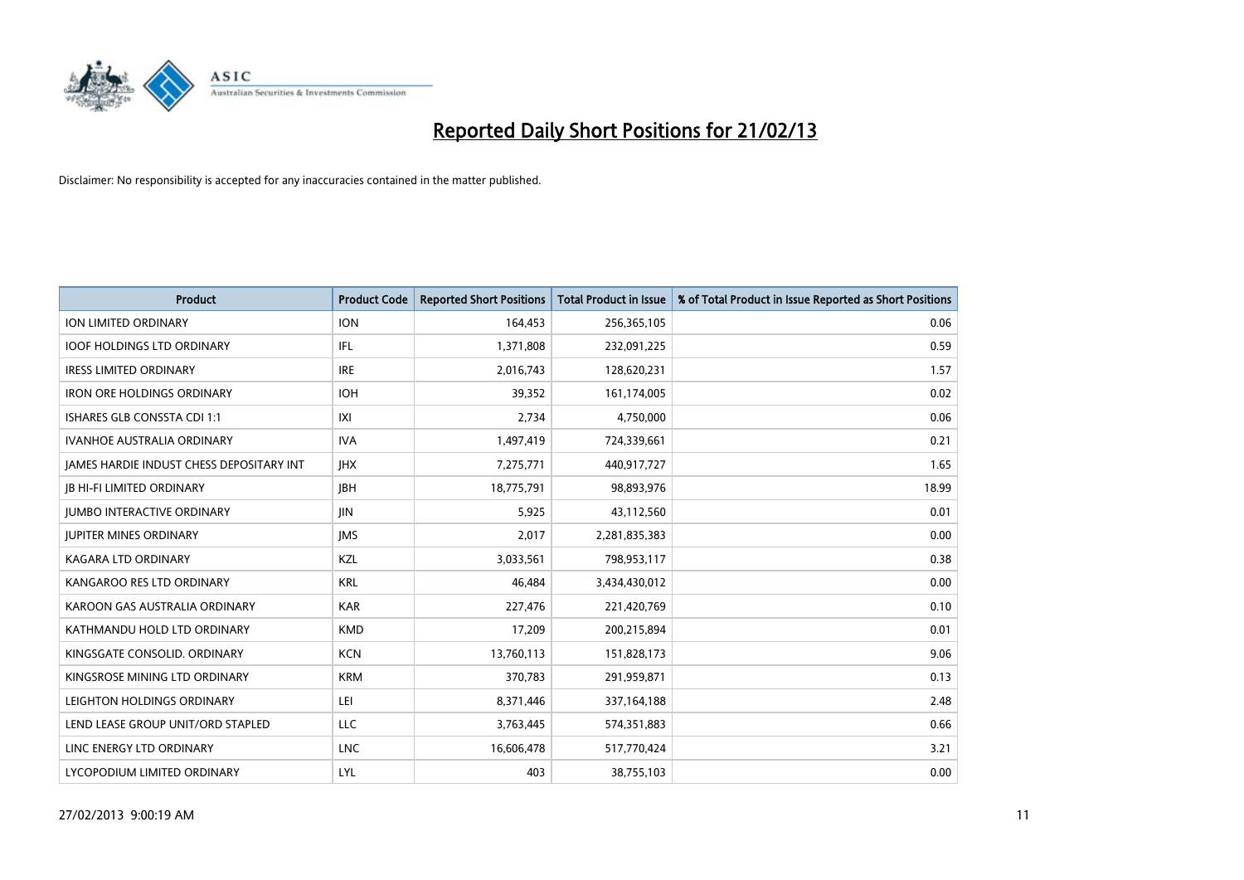

| <b>Product</b>                           | <b>Product Code</b> | <b>Reported Short Positions</b> | <b>Total Product in Issue</b> | % of Total Product in Issue Reported as Short Positions |
|------------------------------------------|---------------------|---------------------------------|-------------------------------|---------------------------------------------------------|
| <b>ION LIMITED ORDINARY</b>              | <b>ION</b>          | 164,453                         | 256,365,105                   | 0.06                                                    |
| <b>IOOF HOLDINGS LTD ORDINARY</b>        | IFL                 | 1,371,808                       | 232,091,225                   | 0.59                                                    |
| <b>IRESS LIMITED ORDINARY</b>            | <b>IRE</b>          | 2,016,743                       | 128,620,231                   | 1.57                                                    |
| <b>IRON ORE HOLDINGS ORDINARY</b>        | <b>IOH</b>          | 39,352                          | 161,174,005                   | 0.02                                                    |
| <b>ISHARES GLB CONSSTA CDI 1:1</b>       | X                   | 2,734                           | 4,750,000                     | 0.06                                                    |
| <b>IVANHOE AUSTRALIA ORDINARY</b>        | <b>IVA</b>          | 1,497,419                       | 724,339,661                   | 0.21                                                    |
| JAMES HARDIE INDUST CHESS DEPOSITARY INT | <b>IHX</b>          | 7,275,771                       | 440,917,727                   | 1.65                                                    |
| <b>JB HI-FI LIMITED ORDINARY</b>         | <b>IBH</b>          | 18,775,791                      | 98,893,976                    | 18.99                                                   |
| <b>JUMBO INTERACTIVE ORDINARY</b>        | JIN                 | 5,925                           | 43,112,560                    | 0.01                                                    |
| JUPITER MINES ORDINARY                   | <b>IMS</b>          | 2,017                           | 2,281,835,383                 | 0.00                                                    |
| <b>KAGARA LTD ORDINARY</b>               | KZL                 | 3,033,561                       | 798,953,117                   | 0.38                                                    |
| KANGAROO RES LTD ORDINARY                | <b>KRL</b>          | 46,484                          | 3,434,430,012                 | 0.00                                                    |
| KAROON GAS AUSTRALIA ORDINARY            | <b>KAR</b>          | 227,476                         | 221,420,769                   | 0.10                                                    |
| KATHMANDU HOLD LTD ORDINARY              | <b>KMD</b>          | 17,209                          | 200,215,894                   | 0.01                                                    |
| KINGSGATE CONSOLID. ORDINARY             | <b>KCN</b>          | 13,760,113                      | 151,828,173                   | 9.06                                                    |
| KINGSROSE MINING LTD ORDINARY            | <b>KRM</b>          | 370,783                         | 291,959,871                   | 0.13                                                    |
| LEIGHTON HOLDINGS ORDINARY               | LEI                 | 8,371,446                       | 337,164,188                   | 2.48                                                    |
| LEND LEASE GROUP UNIT/ORD STAPLED        | <b>LLC</b>          | 3,763,445                       | 574,351,883                   | 0.66                                                    |
| LINC ENERGY LTD ORDINARY                 | <b>LNC</b>          | 16,606,478                      | 517,770,424                   | 3.21                                                    |
| LYCOPODIUM LIMITED ORDINARY              | LYL                 | 403                             | 38,755,103                    | 0.00                                                    |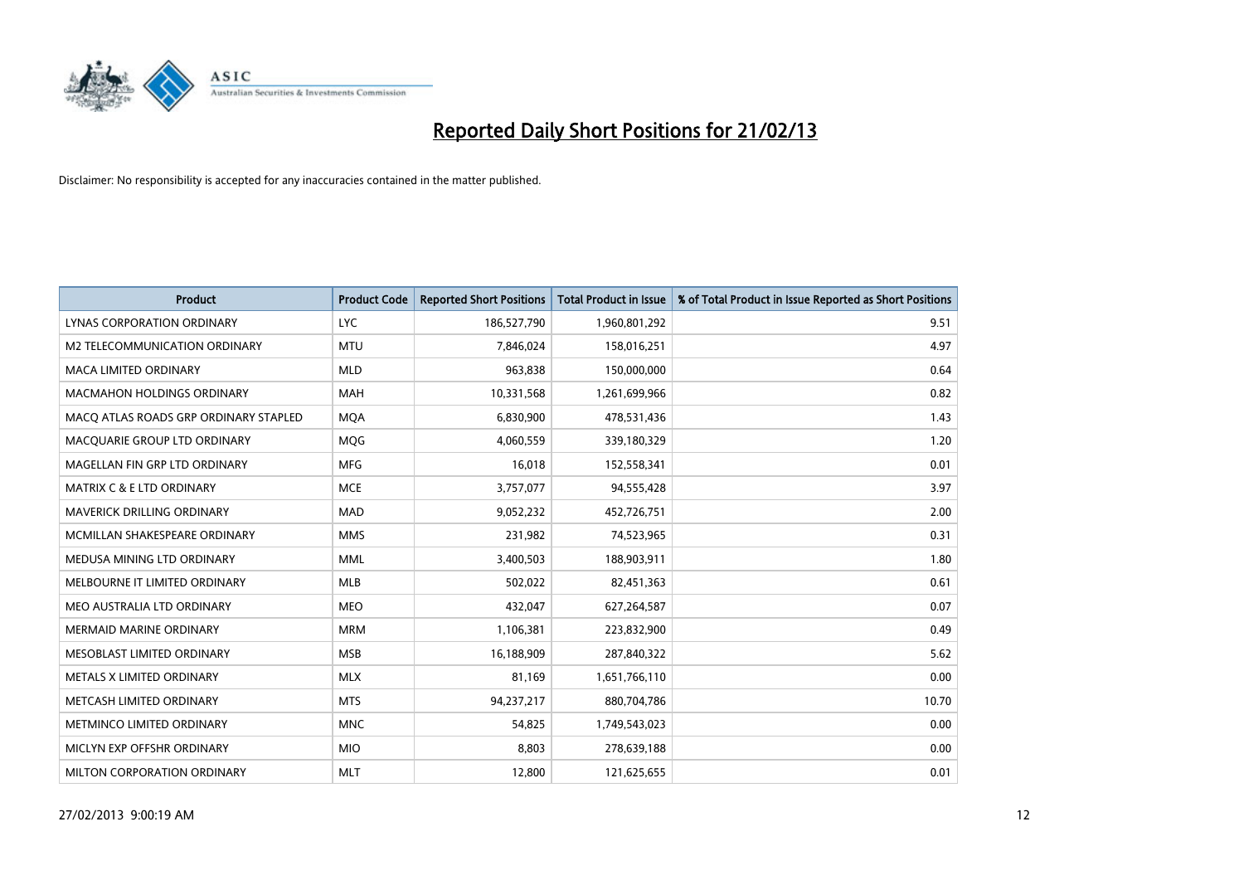

| <b>Product</b>                        | <b>Product Code</b> | <b>Reported Short Positions</b> | <b>Total Product in Issue</b> | % of Total Product in Issue Reported as Short Positions |
|---------------------------------------|---------------------|---------------------------------|-------------------------------|---------------------------------------------------------|
| LYNAS CORPORATION ORDINARY            | <b>LYC</b>          | 186,527,790                     | 1,960,801,292                 | 9.51                                                    |
| M2 TELECOMMUNICATION ORDINARY         | <b>MTU</b>          | 7,846,024                       | 158,016,251                   | 4.97                                                    |
| <b>MACA LIMITED ORDINARY</b>          | <b>MLD</b>          | 963,838                         | 150,000,000                   | 0.64                                                    |
| <b>MACMAHON HOLDINGS ORDINARY</b>     | <b>MAH</b>          | 10,331,568                      | 1,261,699,966                 | 0.82                                                    |
| MACO ATLAS ROADS GRP ORDINARY STAPLED | <b>MOA</b>          | 6,830,900                       | 478,531,436                   | 1.43                                                    |
| MACQUARIE GROUP LTD ORDINARY          | MQG                 | 4,060,559                       | 339,180,329                   | 1.20                                                    |
| MAGELLAN FIN GRP LTD ORDINARY         | <b>MFG</b>          | 16,018                          | 152,558,341                   | 0.01                                                    |
| <b>MATRIX C &amp; E LTD ORDINARY</b>  | <b>MCE</b>          | 3,757,077                       | 94,555,428                    | 3.97                                                    |
| MAVERICK DRILLING ORDINARY            | <b>MAD</b>          | 9,052,232                       | 452,726,751                   | 2.00                                                    |
| MCMILLAN SHAKESPEARE ORDINARY         | <b>MMS</b>          | 231,982                         | 74,523,965                    | 0.31                                                    |
| MEDUSA MINING LTD ORDINARY            | <b>MML</b>          | 3,400,503                       | 188,903,911                   | 1.80                                                    |
| MELBOURNE IT LIMITED ORDINARY         | MLB                 | 502,022                         | 82,451,363                    | 0.61                                                    |
| MEO AUSTRALIA LTD ORDINARY            | <b>MEO</b>          | 432,047                         | 627,264,587                   | 0.07                                                    |
| <b>MERMAID MARINE ORDINARY</b>        | <b>MRM</b>          | 1,106,381                       | 223,832,900                   | 0.49                                                    |
| MESOBLAST LIMITED ORDINARY            | <b>MSB</b>          | 16,188,909                      | 287,840,322                   | 5.62                                                    |
| METALS X LIMITED ORDINARY             | <b>MLX</b>          | 81,169                          | 1,651,766,110                 | 0.00                                                    |
| METCASH LIMITED ORDINARY              | <b>MTS</b>          | 94,237,217                      | 880,704,786                   | 10.70                                                   |
| METMINCO LIMITED ORDINARY             | <b>MNC</b>          | 54,825                          | 1,749,543,023                 | 0.00                                                    |
| MICLYN EXP OFFSHR ORDINARY            | <b>MIO</b>          | 8,803                           | 278,639,188                   | 0.00                                                    |
| MILTON CORPORATION ORDINARY           | <b>MLT</b>          | 12,800                          | 121,625,655                   | 0.01                                                    |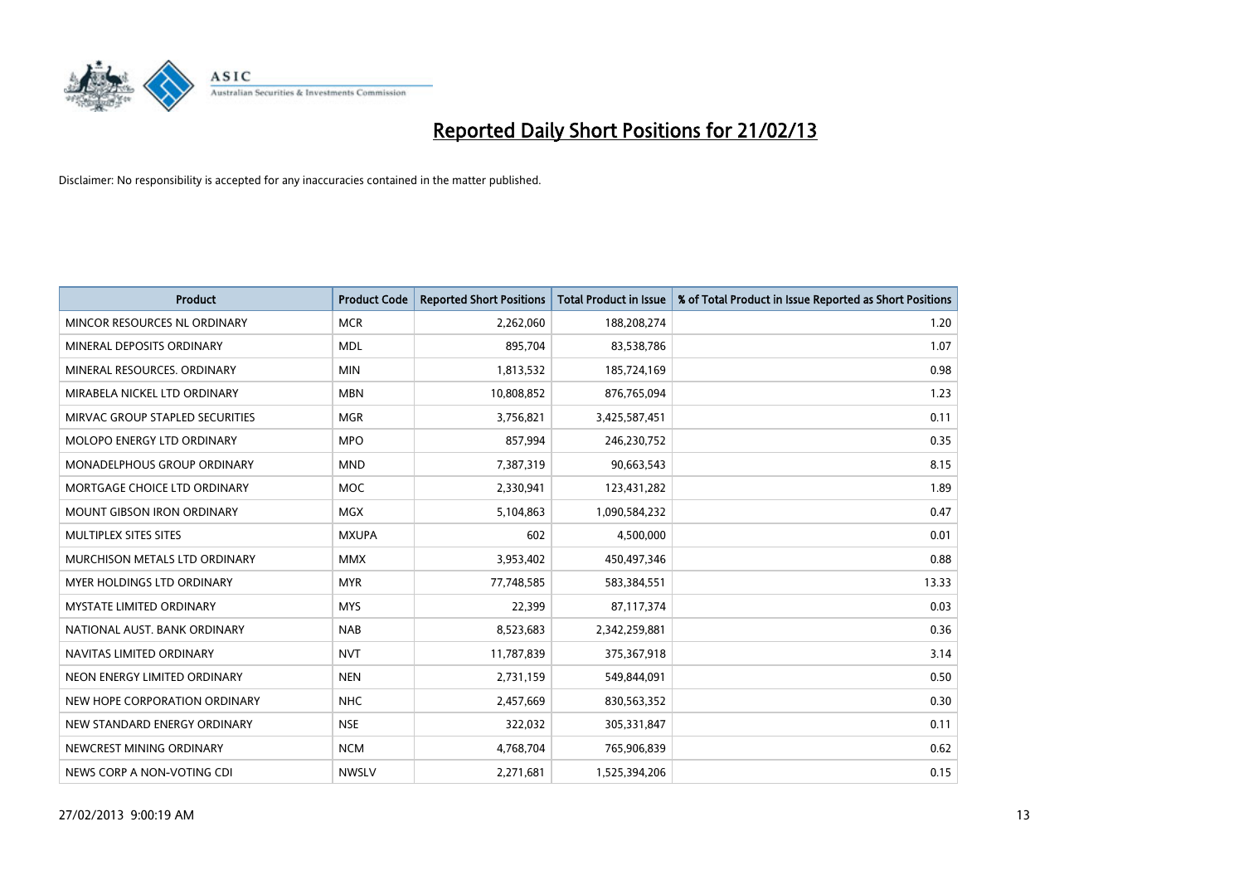

| <b>Product</b>                    | <b>Product Code</b> | <b>Reported Short Positions</b> | <b>Total Product in Issue</b> | % of Total Product in Issue Reported as Short Positions |
|-----------------------------------|---------------------|---------------------------------|-------------------------------|---------------------------------------------------------|
| MINCOR RESOURCES NL ORDINARY      | <b>MCR</b>          | 2,262,060                       | 188,208,274                   | 1.20                                                    |
| MINERAL DEPOSITS ORDINARY         | <b>MDL</b>          | 895,704                         | 83,538,786                    | 1.07                                                    |
| MINERAL RESOURCES, ORDINARY       | <b>MIN</b>          | 1,813,532                       | 185,724,169                   | 0.98                                                    |
| MIRABELA NICKEL LTD ORDINARY      | <b>MBN</b>          | 10,808,852                      | 876,765,094                   | 1.23                                                    |
| MIRVAC GROUP STAPLED SECURITIES   | <b>MGR</b>          | 3,756,821                       | 3,425,587,451                 | 0.11                                                    |
| MOLOPO ENERGY LTD ORDINARY        | <b>MPO</b>          | 857,994                         | 246,230,752                   | 0.35                                                    |
| MONADELPHOUS GROUP ORDINARY       | <b>MND</b>          | 7,387,319                       | 90,663,543                    | 8.15                                                    |
| MORTGAGE CHOICE LTD ORDINARY      | <b>MOC</b>          | 2,330,941                       | 123,431,282                   | 1.89                                                    |
| <b>MOUNT GIBSON IRON ORDINARY</b> | <b>MGX</b>          | 5,104,863                       | 1,090,584,232                 | 0.47                                                    |
| MULTIPLEX SITES SITES             | <b>MXUPA</b>        | 602                             | 4,500,000                     | 0.01                                                    |
| MURCHISON METALS LTD ORDINARY     | <b>MMX</b>          | 3,953,402                       | 450,497,346                   | 0.88                                                    |
| MYER HOLDINGS LTD ORDINARY        | <b>MYR</b>          | 77,748,585                      | 583,384,551                   | 13.33                                                   |
| <b>MYSTATE LIMITED ORDINARY</b>   | <b>MYS</b>          | 22,399                          | 87,117,374                    | 0.03                                                    |
| NATIONAL AUST, BANK ORDINARY      | <b>NAB</b>          | 8,523,683                       | 2,342,259,881                 | 0.36                                                    |
| NAVITAS LIMITED ORDINARY          | <b>NVT</b>          | 11,787,839                      | 375,367,918                   | 3.14                                                    |
| NEON ENERGY LIMITED ORDINARY      | <b>NEN</b>          | 2,731,159                       | 549,844,091                   | 0.50                                                    |
| NEW HOPE CORPORATION ORDINARY     | <b>NHC</b>          | 2,457,669                       | 830,563,352                   | 0.30                                                    |
| NEW STANDARD ENERGY ORDINARY      | <b>NSE</b>          | 322,032                         | 305,331,847                   | 0.11                                                    |
| NEWCREST MINING ORDINARY          | <b>NCM</b>          | 4,768,704                       | 765,906,839                   | 0.62                                                    |
| NEWS CORP A NON-VOTING CDI        | <b>NWSLV</b>        | 2,271,681                       | 1,525,394,206                 | 0.15                                                    |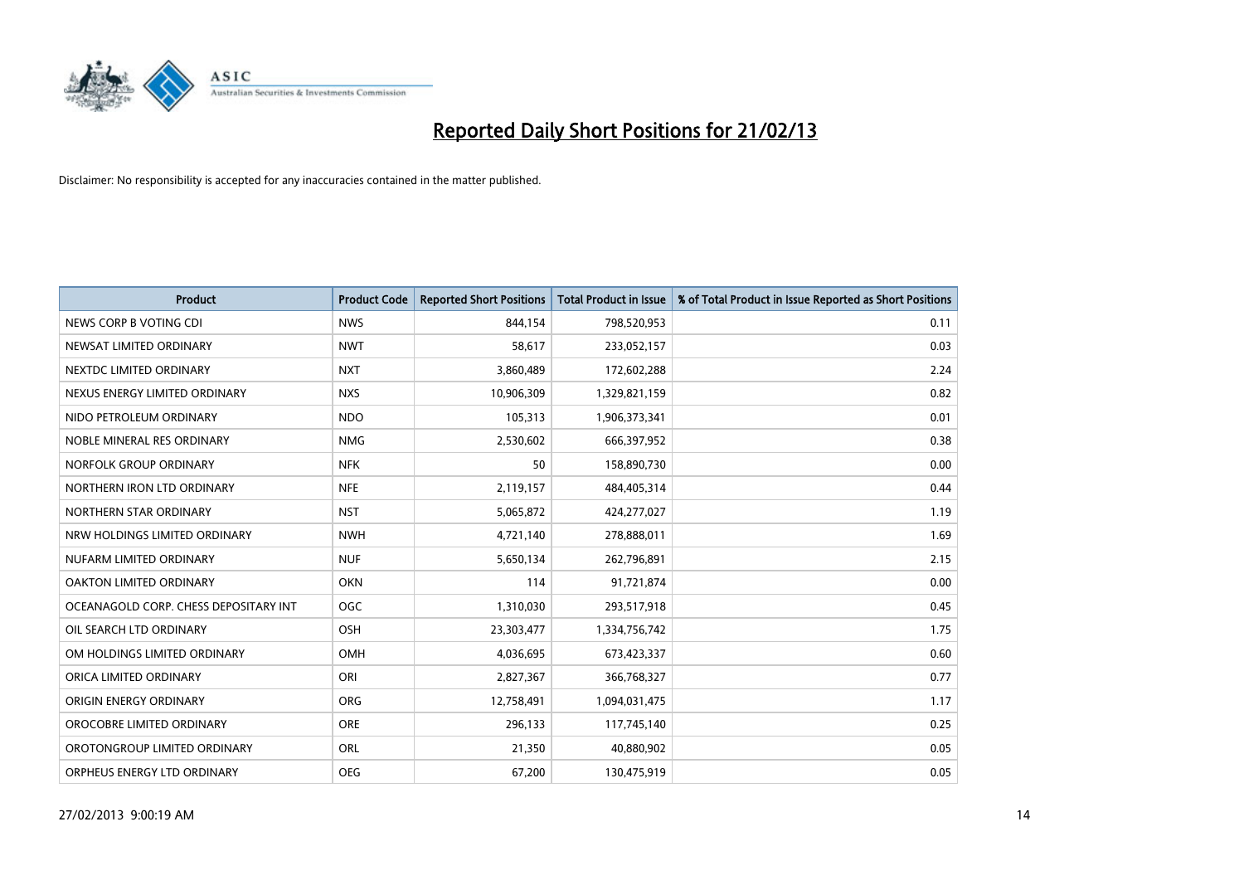

| <b>Product</b>                        | <b>Product Code</b> | <b>Reported Short Positions</b> | <b>Total Product in Issue</b> | % of Total Product in Issue Reported as Short Positions |
|---------------------------------------|---------------------|---------------------------------|-------------------------------|---------------------------------------------------------|
| NEWS CORP B VOTING CDI                | <b>NWS</b>          | 844,154                         | 798,520,953                   | 0.11                                                    |
| NEWSAT LIMITED ORDINARY               | <b>NWT</b>          | 58,617                          | 233,052,157                   | 0.03                                                    |
| NEXTDC LIMITED ORDINARY               | <b>NXT</b>          | 3,860,489                       | 172,602,288                   | 2.24                                                    |
| NEXUS ENERGY LIMITED ORDINARY         | <b>NXS</b>          | 10,906,309                      | 1,329,821,159                 | 0.82                                                    |
| NIDO PETROLEUM ORDINARY               | <b>NDO</b>          | 105,313                         | 1,906,373,341                 | 0.01                                                    |
| NOBLE MINERAL RES ORDINARY            | <b>NMG</b>          | 2,530,602                       | 666,397,952                   | 0.38                                                    |
| NORFOLK GROUP ORDINARY                | <b>NFK</b>          | 50                              | 158,890,730                   | 0.00                                                    |
| NORTHERN IRON LTD ORDINARY            | <b>NFE</b>          | 2,119,157                       | 484,405,314                   | 0.44                                                    |
| NORTHERN STAR ORDINARY                | <b>NST</b>          | 5,065,872                       | 424,277,027                   | 1.19                                                    |
| NRW HOLDINGS LIMITED ORDINARY         | <b>NWH</b>          | 4,721,140                       | 278,888,011                   | 1.69                                                    |
| NUFARM LIMITED ORDINARY               | <b>NUF</b>          | 5,650,134                       | 262,796,891                   | 2.15                                                    |
| OAKTON LIMITED ORDINARY               | <b>OKN</b>          | 114                             | 91,721,874                    | 0.00                                                    |
| OCEANAGOLD CORP. CHESS DEPOSITARY INT | <b>OGC</b>          | 1,310,030                       | 293,517,918                   | 0.45                                                    |
| OIL SEARCH LTD ORDINARY               | OSH                 | 23,303,477                      | 1,334,756,742                 | 1.75                                                    |
| OM HOLDINGS LIMITED ORDINARY          | <b>OMH</b>          | 4,036,695                       | 673,423,337                   | 0.60                                                    |
| ORICA LIMITED ORDINARY                | ORI                 | 2,827,367                       | 366,768,327                   | 0.77                                                    |
| ORIGIN ENERGY ORDINARY                | <b>ORG</b>          | 12,758,491                      | 1,094,031,475                 | 1.17                                                    |
| OROCOBRE LIMITED ORDINARY             | <b>ORE</b>          | 296,133                         | 117,745,140                   | 0.25                                                    |
| OROTONGROUP LIMITED ORDINARY          | ORL                 | 21,350                          | 40,880,902                    | 0.05                                                    |
| ORPHEUS ENERGY LTD ORDINARY           | <b>OEG</b>          | 67,200                          | 130,475,919                   | 0.05                                                    |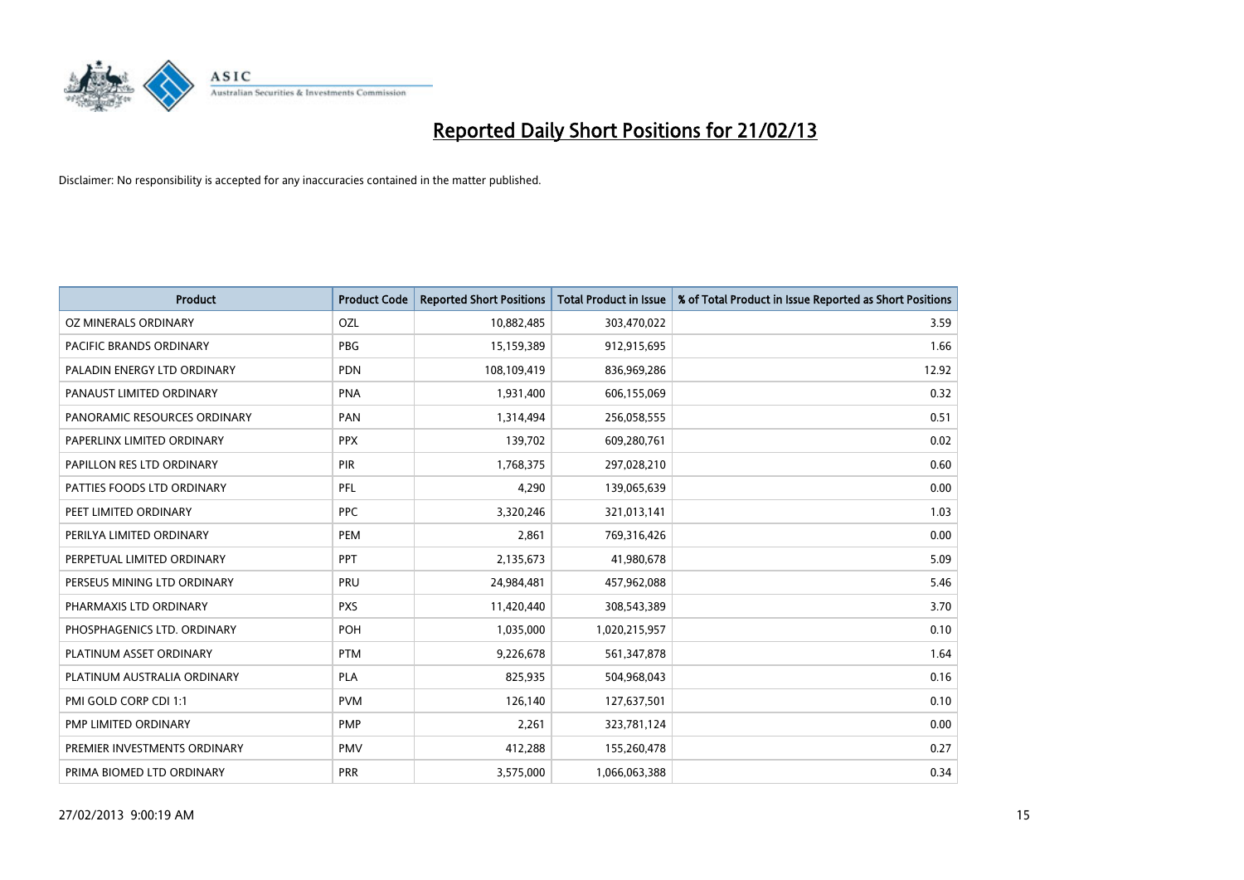

| <b>Product</b>               | <b>Product Code</b> | <b>Reported Short Positions</b> | <b>Total Product in Issue</b> | % of Total Product in Issue Reported as Short Positions |
|------------------------------|---------------------|---------------------------------|-------------------------------|---------------------------------------------------------|
| OZ MINERALS ORDINARY         | OZL                 | 10,882,485                      | 303,470,022                   | 3.59                                                    |
| PACIFIC BRANDS ORDINARY      | <b>PBG</b>          | 15,159,389                      | 912,915,695                   | 1.66                                                    |
| PALADIN ENERGY LTD ORDINARY  | <b>PDN</b>          | 108,109,419                     | 836,969,286                   | 12.92                                                   |
| PANAUST LIMITED ORDINARY     | <b>PNA</b>          | 1,931,400                       | 606,155,069                   | 0.32                                                    |
| PANORAMIC RESOURCES ORDINARY | PAN                 | 1,314,494                       | 256,058,555                   | 0.51                                                    |
| PAPERLINX LIMITED ORDINARY   | <b>PPX</b>          | 139,702                         | 609,280,761                   | 0.02                                                    |
| PAPILLON RES LTD ORDINARY    | <b>PIR</b>          | 1,768,375                       | 297,028,210                   | 0.60                                                    |
| PATTIES FOODS LTD ORDINARY   | PFL                 | 4,290                           | 139,065,639                   | 0.00                                                    |
| PEET LIMITED ORDINARY        | <b>PPC</b>          | 3,320,246                       | 321,013,141                   | 1.03                                                    |
| PERILYA LIMITED ORDINARY     | PEM                 | 2,861                           | 769,316,426                   | 0.00                                                    |
| PERPETUAL LIMITED ORDINARY   | <b>PPT</b>          | 2,135,673                       | 41,980,678                    | 5.09                                                    |
| PERSEUS MINING LTD ORDINARY  | PRU                 | 24,984,481                      | 457,962,088                   | 5.46                                                    |
| PHARMAXIS LTD ORDINARY       | <b>PXS</b>          | 11,420,440                      | 308,543,389                   | 3.70                                                    |
| PHOSPHAGENICS LTD. ORDINARY  | POH                 | 1,035,000                       | 1,020,215,957                 | 0.10                                                    |
| PLATINUM ASSET ORDINARY      | <b>PTM</b>          | 9,226,678                       | 561,347,878                   | 1.64                                                    |
| PLATINUM AUSTRALIA ORDINARY  | PLA                 | 825,935                         | 504,968,043                   | 0.16                                                    |
| PMI GOLD CORP CDI 1:1        | <b>PVM</b>          | 126,140                         | 127,637,501                   | 0.10                                                    |
| PMP LIMITED ORDINARY         | <b>PMP</b>          | 2,261                           | 323,781,124                   | 0.00                                                    |
| PREMIER INVESTMENTS ORDINARY | <b>PMV</b>          | 412,288                         | 155,260,478                   | 0.27                                                    |
| PRIMA BIOMED LTD ORDINARY    | <b>PRR</b>          | 3,575,000                       | 1,066,063,388                 | 0.34                                                    |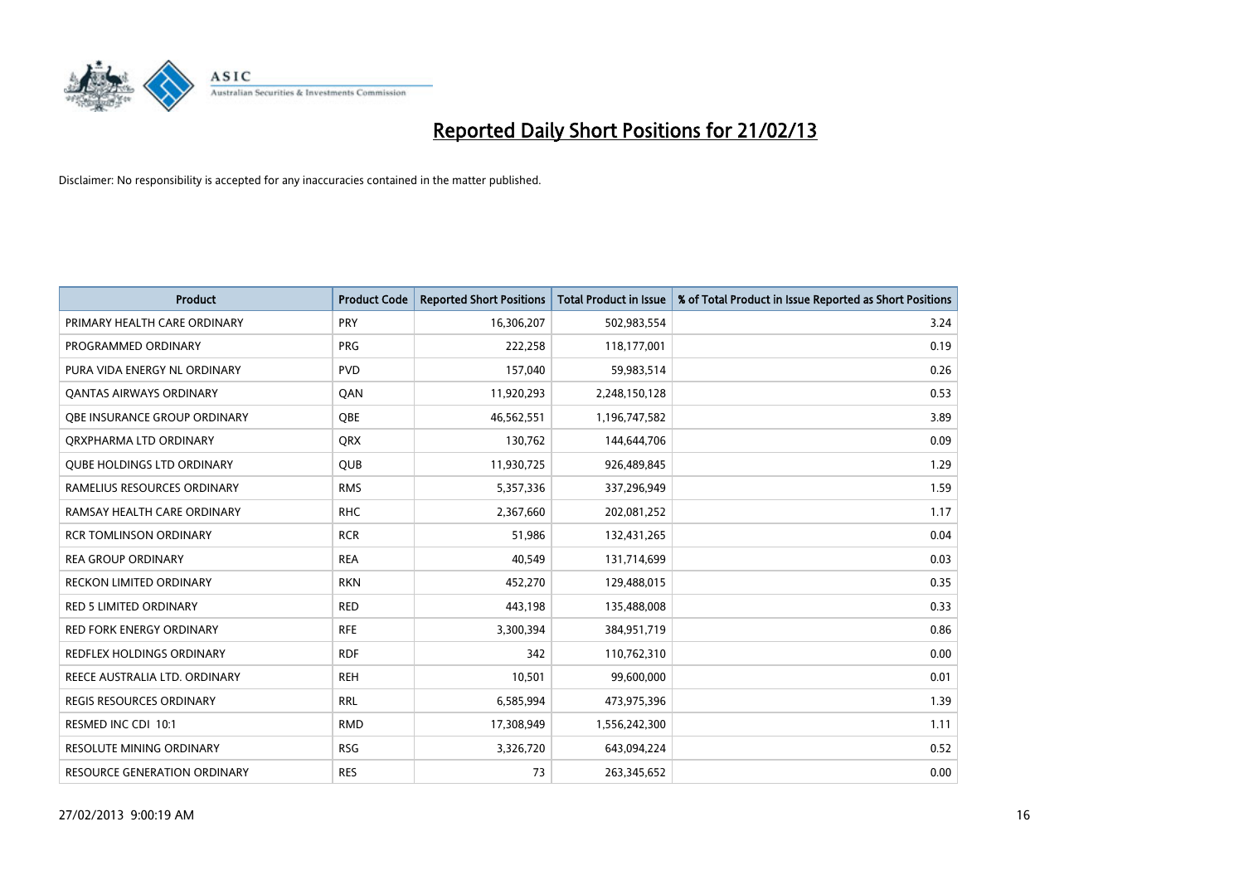

| <b>Product</b>                      | <b>Product Code</b> | <b>Reported Short Positions</b> | <b>Total Product in Issue</b> | % of Total Product in Issue Reported as Short Positions |
|-------------------------------------|---------------------|---------------------------------|-------------------------------|---------------------------------------------------------|
| PRIMARY HEALTH CARE ORDINARY        | <b>PRY</b>          | 16,306,207                      | 502,983,554                   | 3.24                                                    |
| PROGRAMMED ORDINARY                 | <b>PRG</b>          | 222,258                         | 118,177,001                   | 0.19                                                    |
| PURA VIDA ENERGY NL ORDINARY        | <b>PVD</b>          | 157,040                         | 59,983,514                    | 0.26                                                    |
| <b>QANTAS AIRWAYS ORDINARY</b>      | QAN                 | 11,920,293                      | 2,248,150,128                 | 0.53                                                    |
| <b>OBE INSURANCE GROUP ORDINARY</b> | <b>OBE</b>          | 46,562,551                      | 1,196,747,582                 | 3.89                                                    |
| ORXPHARMA LTD ORDINARY              | <b>QRX</b>          | 130,762                         | 144,644,706                   | 0.09                                                    |
| <b>QUBE HOLDINGS LTD ORDINARY</b>   | <b>QUB</b>          | 11,930,725                      | 926,489,845                   | 1.29                                                    |
| RAMELIUS RESOURCES ORDINARY         | <b>RMS</b>          | 5,357,336                       | 337,296,949                   | 1.59                                                    |
| RAMSAY HEALTH CARE ORDINARY         | <b>RHC</b>          | 2,367,660                       | 202,081,252                   | 1.17                                                    |
| <b>RCR TOMLINSON ORDINARY</b>       | <b>RCR</b>          | 51,986                          | 132,431,265                   | 0.04                                                    |
| <b>REA GROUP ORDINARY</b>           | <b>REA</b>          | 40,549                          | 131,714,699                   | 0.03                                                    |
| <b>RECKON LIMITED ORDINARY</b>      | <b>RKN</b>          | 452,270                         | 129,488,015                   | 0.35                                                    |
| <b>RED 5 LIMITED ORDINARY</b>       | <b>RED</b>          | 443,198                         | 135,488,008                   | 0.33                                                    |
| <b>RED FORK ENERGY ORDINARY</b>     | <b>RFE</b>          | 3,300,394                       | 384,951,719                   | 0.86                                                    |
| <b>REDFLEX HOLDINGS ORDINARY</b>    | <b>RDF</b>          | 342                             | 110,762,310                   | 0.00                                                    |
| REECE AUSTRALIA LTD. ORDINARY       | <b>REH</b>          | 10,501                          | 99,600,000                    | 0.01                                                    |
| <b>REGIS RESOURCES ORDINARY</b>     | RRL                 | 6,585,994                       | 473,975,396                   | 1.39                                                    |
| RESMED INC CDI 10:1                 | <b>RMD</b>          | 17,308,949                      | 1,556,242,300                 | 1.11                                                    |
| <b>RESOLUTE MINING ORDINARY</b>     | <b>RSG</b>          | 3,326,720                       | 643,094,224                   | 0.52                                                    |
| RESOURCE GENERATION ORDINARY        | <b>RES</b>          | 73                              | 263,345,652                   | 0.00                                                    |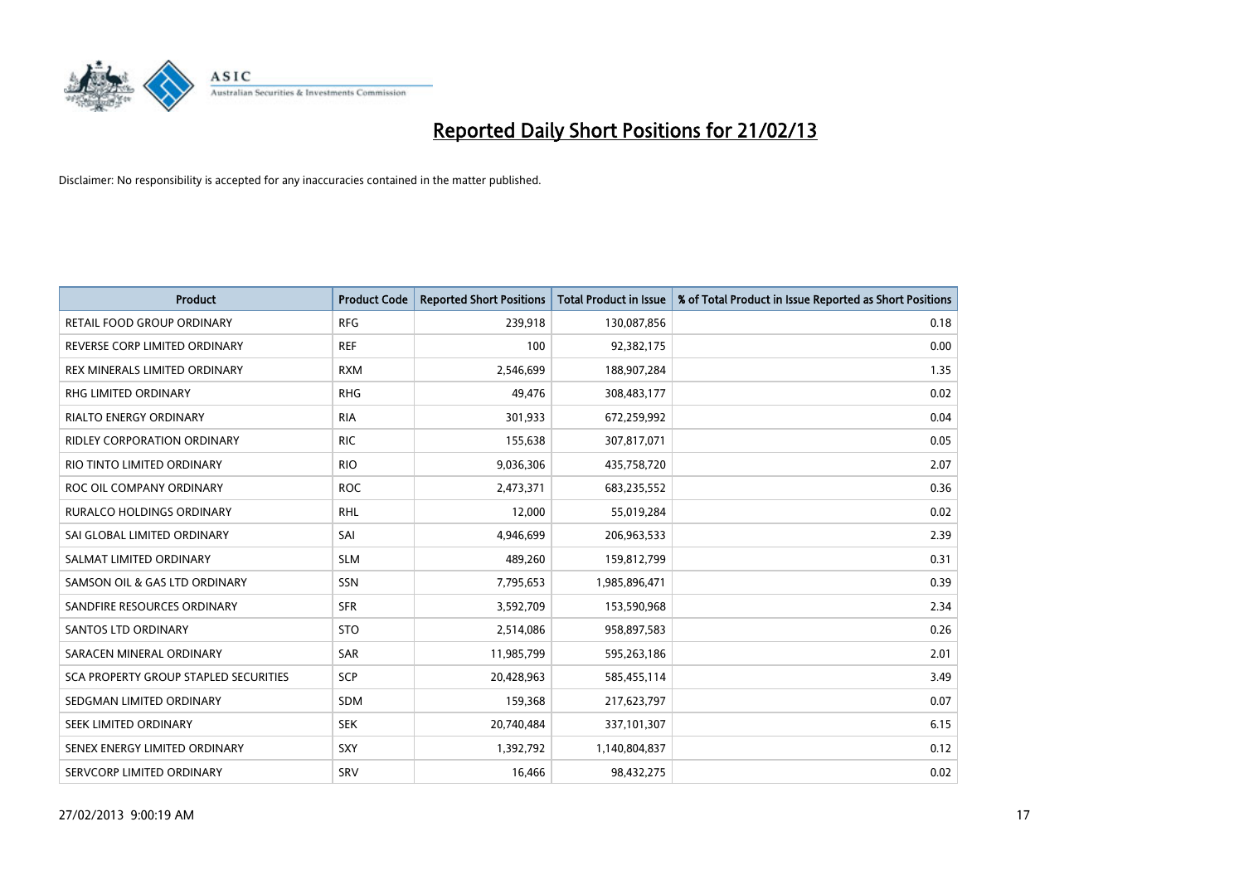

| <b>Product</b>                        | <b>Product Code</b> | <b>Reported Short Positions</b> | Total Product in Issue | % of Total Product in Issue Reported as Short Positions |
|---------------------------------------|---------------------|---------------------------------|------------------------|---------------------------------------------------------|
| RETAIL FOOD GROUP ORDINARY            | <b>RFG</b>          | 239,918                         | 130,087,856            | 0.18                                                    |
| REVERSE CORP LIMITED ORDINARY         | <b>REF</b>          | 100                             | 92,382,175             | 0.00                                                    |
| REX MINERALS LIMITED ORDINARY         | <b>RXM</b>          | 2,546,699                       | 188,907,284            | 1.35                                                    |
| <b>RHG LIMITED ORDINARY</b>           | <b>RHG</b>          | 49,476                          | 308,483,177            | 0.02                                                    |
| <b>RIALTO ENERGY ORDINARY</b>         | <b>RIA</b>          | 301,933                         | 672,259,992            | 0.04                                                    |
| <b>RIDLEY CORPORATION ORDINARY</b>    | <b>RIC</b>          | 155,638                         | 307,817,071            | 0.05                                                    |
| RIO TINTO LIMITED ORDINARY            | <b>RIO</b>          | 9,036,306                       | 435,758,720            | 2.07                                                    |
| ROC OIL COMPANY ORDINARY              | <b>ROC</b>          | 2,473,371                       | 683,235,552            | 0.36                                                    |
| <b>RURALCO HOLDINGS ORDINARY</b>      | <b>RHL</b>          | 12,000                          | 55,019,284             | 0.02                                                    |
| SAI GLOBAL LIMITED ORDINARY           | SAI                 | 4,946,699                       | 206,963,533            | 2.39                                                    |
| SALMAT LIMITED ORDINARY               | <b>SLM</b>          | 489,260                         | 159,812,799            | 0.31                                                    |
| SAMSON OIL & GAS LTD ORDINARY         | SSN                 | 7,795,653                       | 1,985,896,471          | 0.39                                                    |
| SANDFIRE RESOURCES ORDINARY           | <b>SFR</b>          | 3,592,709                       | 153,590,968            | 2.34                                                    |
| <b>SANTOS LTD ORDINARY</b>            | <b>STO</b>          | 2,514,086                       | 958,897,583            | 0.26                                                    |
| SARACEN MINERAL ORDINARY              | <b>SAR</b>          | 11,985,799                      | 595,263,186            | 2.01                                                    |
| SCA PROPERTY GROUP STAPLED SECURITIES | <b>SCP</b>          | 20,428,963                      | 585,455,114            | 3.49                                                    |
| SEDGMAN LIMITED ORDINARY              | SDM                 | 159,368                         | 217,623,797            | 0.07                                                    |
| SEEK LIMITED ORDINARY                 | <b>SEK</b>          | 20,740,484                      | 337,101,307            | 6.15                                                    |
| SENEX ENERGY LIMITED ORDINARY         | SXY                 | 1,392,792                       | 1,140,804,837          | 0.12                                                    |
| SERVCORP LIMITED ORDINARY             | SRV                 | 16,466                          | 98,432,275             | 0.02                                                    |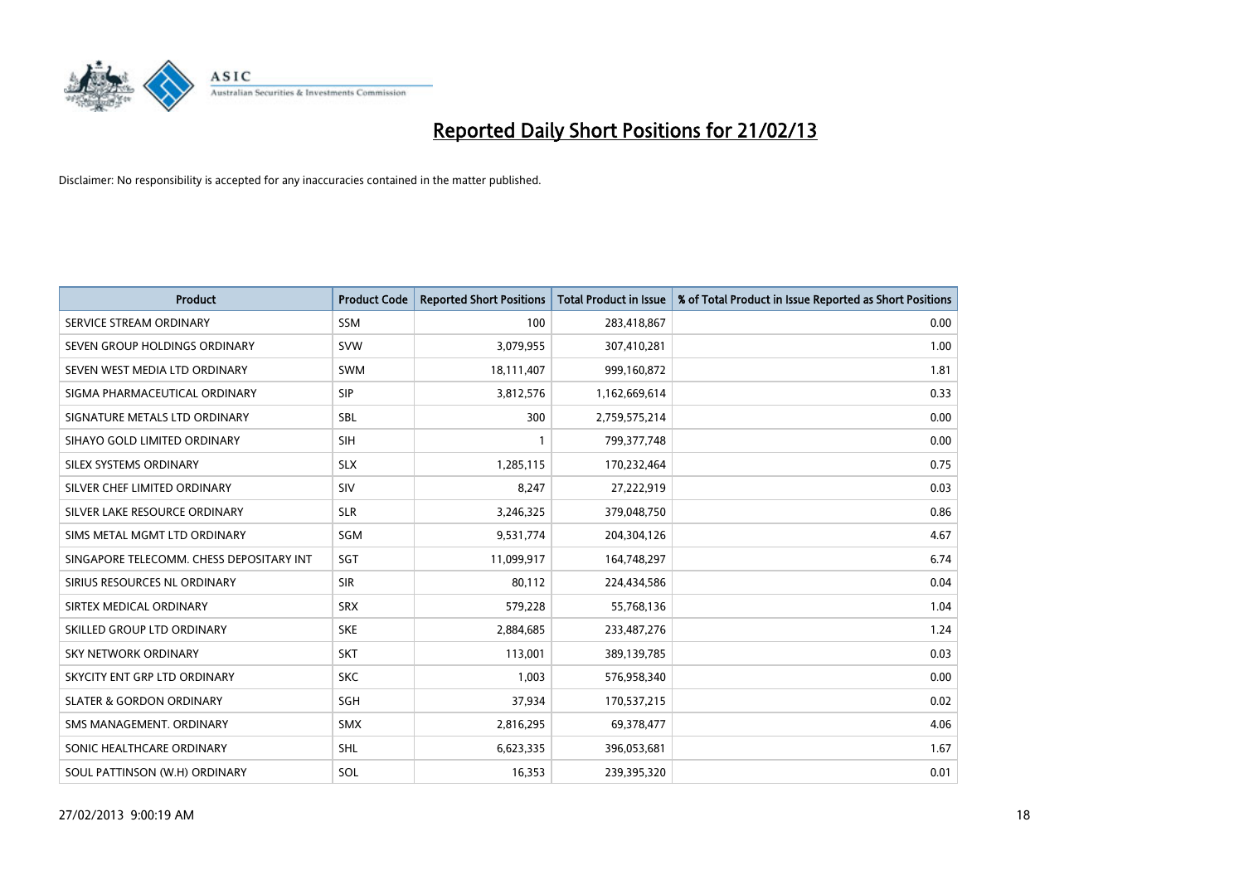

| <b>Product</b>                           | <b>Product Code</b> | <b>Reported Short Positions</b> | <b>Total Product in Issue</b> | % of Total Product in Issue Reported as Short Positions |
|------------------------------------------|---------------------|---------------------------------|-------------------------------|---------------------------------------------------------|
| SERVICE STREAM ORDINARY                  | <b>SSM</b>          | 100                             | 283,418,867                   | 0.00                                                    |
| SEVEN GROUP HOLDINGS ORDINARY            | <b>SVW</b>          | 3,079,955                       | 307,410,281                   | 1.00                                                    |
| SEVEN WEST MEDIA LTD ORDINARY            | <b>SWM</b>          | 18,111,407                      | 999,160,872                   | 1.81                                                    |
| SIGMA PHARMACEUTICAL ORDINARY            | <b>SIP</b>          | 3,812,576                       | 1,162,669,614                 | 0.33                                                    |
| SIGNATURE METALS LTD ORDINARY            | <b>SBL</b>          | 300                             | 2,759,575,214                 | 0.00                                                    |
| SIHAYO GOLD LIMITED ORDINARY             | SIH                 | $\mathbf{1}$                    | 799,377,748                   | 0.00                                                    |
| SILEX SYSTEMS ORDINARY                   | <b>SLX</b>          | 1,285,115                       | 170,232,464                   | 0.75                                                    |
| SILVER CHEF LIMITED ORDINARY             | SIV                 | 8,247                           | 27,222,919                    | 0.03                                                    |
| SILVER LAKE RESOURCE ORDINARY            | <b>SLR</b>          | 3,246,325                       | 379,048,750                   | 0.86                                                    |
| SIMS METAL MGMT LTD ORDINARY             | SGM                 | 9,531,774                       | 204,304,126                   | 4.67                                                    |
| SINGAPORE TELECOMM. CHESS DEPOSITARY INT | SGT                 | 11,099,917                      | 164,748,297                   | 6.74                                                    |
| SIRIUS RESOURCES NL ORDINARY             | <b>SIR</b>          | 80,112                          | 224,434,586                   | 0.04                                                    |
| SIRTEX MEDICAL ORDINARY                  | <b>SRX</b>          | 579,228                         | 55,768,136                    | 1.04                                                    |
| SKILLED GROUP LTD ORDINARY               | <b>SKE</b>          | 2,884,685                       | 233,487,276                   | 1.24                                                    |
| <b>SKY NETWORK ORDINARY</b>              | <b>SKT</b>          | 113,001                         | 389,139,785                   | 0.03                                                    |
| SKYCITY ENT GRP LTD ORDINARY             | <b>SKC</b>          | 1,003                           | 576,958,340                   | 0.00                                                    |
| <b>SLATER &amp; GORDON ORDINARY</b>      | SGH                 | 37,934                          | 170,537,215                   | 0.02                                                    |
| SMS MANAGEMENT, ORDINARY                 | <b>SMX</b>          | 2,816,295                       | 69,378,477                    | 4.06                                                    |
| SONIC HEALTHCARE ORDINARY                | <b>SHL</b>          | 6,623,335                       | 396,053,681                   | 1.67                                                    |
| SOUL PATTINSON (W.H) ORDINARY            | SOL                 | 16,353                          | 239,395,320                   | 0.01                                                    |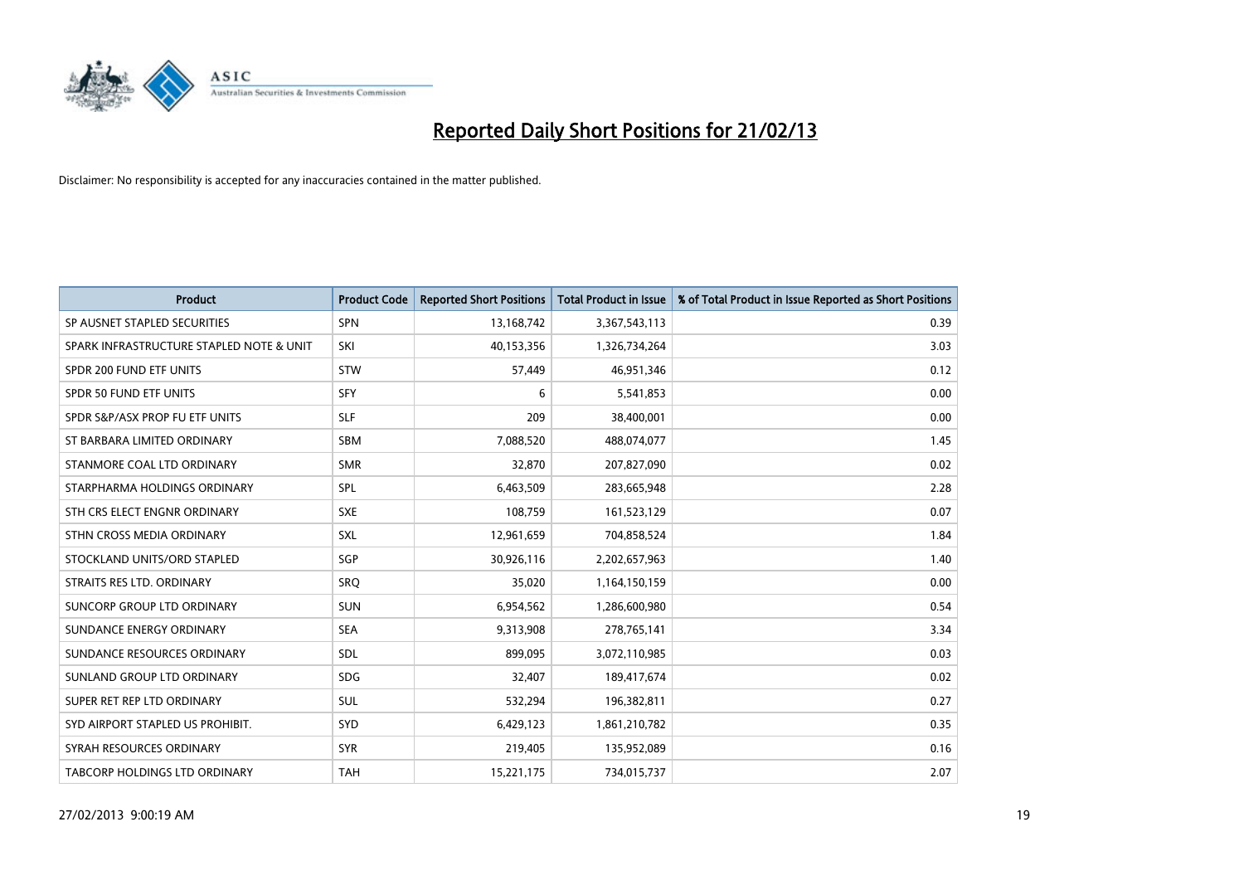

| <b>Product</b>                           | <b>Product Code</b> | <b>Reported Short Positions</b> | <b>Total Product in Issue</b> | % of Total Product in Issue Reported as Short Positions |
|------------------------------------------|---------------------|---------------------------------|-------------------------------|---------------------------------------------------------|
| SP AUSNET STAPLED SECURITIES             | <b>SPN</b>          | 13,168,742                      | 3,367,543,113                 | 0.39                                                    |
| SPARK INFRASTRUCTURE STAPLED NOTE & UNIT | SKI                 | 40,153,356                      | 1,326,734,264                 | 3.03                                                    |
| SPDR 200 FUND ETF UNITS                  | <b>STW</b>          | 57,449                          | 46,951,346                    | 0.12                                                    |
| SPDR 50 FUND ETF UNITS                   | <b>SFY</b>          | 6                               | 5,541,853                     | 0.00                                                    |
| SPDR S&P/ASX PROP FU ETF UNITS           | <b>SLF</b>          | 209                             | 38,400,001                    | 0.00                                                    |
| ST BARBARA LIMITED ORDINARY              | <b>SBM</b>          | 7,088,520                       | 488,074,077                   | 1.45                                                    |
| STANMORE COAL LTD ORDINARY               | <b>SMR</b>          | 32,870                          | 207,827,090                   | 0.02                                                    |
| STARPHARMA HOLDINGS ORDINARY             | <b>SPL</b>          | 6,463,509                       | 283,665,948                   | 2.28                                                    |
| STH CRS ELECT ENGNR ORDINARY             | <b>SXE</b>          | 108,759                         | 161,523,129                   | 0.07                                                    |
| STHN CROSS MEDIA ORDINARY                | SXL                 | 12,961,659                      | 704,858,524                   | 1.84                                                    |
| STOCKLAND UNITS/ORD STAPLED              | SGP                 | 30,926,116                      | 2,202,657,963                 | 1.40                                                    |
| STRAITS RES LTD. ORDINARY                | <b>SRO</b>          | 35,020                          | 1,164,150,159                 | 0.00                                                    |
| SUNCORP GROUP LTD ORDINARY               | <b>SUN</b>          | 6,954,562                       | 1,286,600,980                 | 0.54                                                    |
| SUNDANCE ENERGY ORDINARY                 | <b>SEA</b>          | 9,313,908                       | 278,765,141                   | 3.34                                                    |
| SUNDANCE RESOURCES ORDINARY              | SDL                 | 899,095                         | 3,072,110,985                 | 0.03                                                    |
| SUNLAND GROUP LTD ORDINARY               | <b>SDG</b>          | 32,407                          | 189,417,674                   | 0.02                                                    |
| SUPER RET REP LTD ORDINARY               | SUL                 | 532,294                         | 196,382,811                   | 0.27                                                    |
| SYD AIRPORT STAPLED US PROHIBIT.         | SYD                 | 6,429,123                       | 1,861,210,782                 | 0.35                                                    |
| SYRAH RESOURCES ORDINARY                 | <b>SYR</b>          | 219,405                         | 135,952,089                   | 0.16                                                    |
| <b>TABCORP HOLDINGS LTD ORDINARY</b>     | <b>TAH</b>          | 15,221,175                      | 734,015,737                   | 2.07                                                    |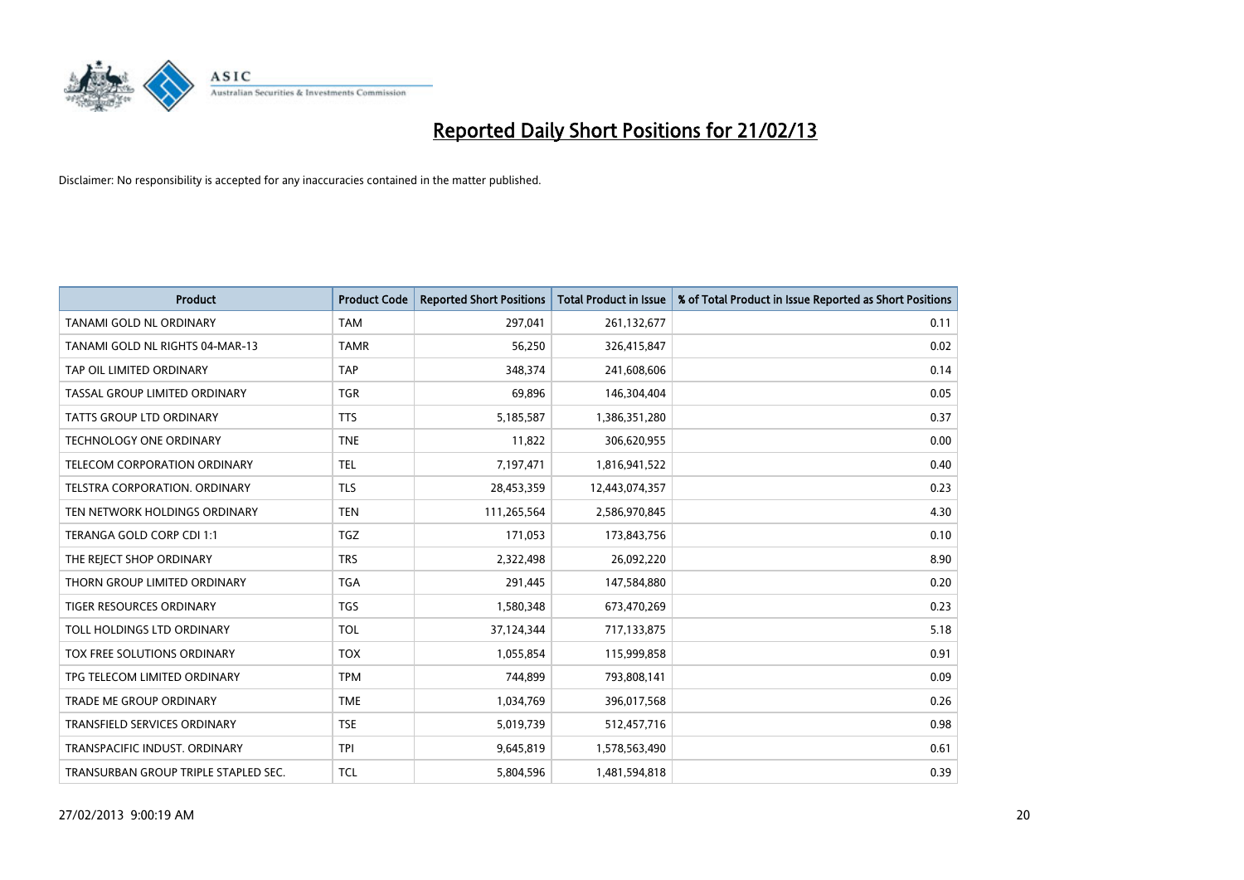

| <b>Product</b>                       | <b>Product Code</b> | <b>Reported Short Positions</b> | <b>Total Product in Issue</b> | % of Total Product in Issue Reported as Short Positions |
|--------------------------------------|---------------------|---------------------------------|-------------------------------|---------------------------------------------------------|
| <b>TANAMI GOLD NL ORDINARY</b>       | <b>TAM</b>          | 297,041                         | 261,132,677                   | 0.11                                                    |
| TANAMI GOLD NL RIGHTS 04-MAR-13      | <b>TAMR</b>         | 56,250                          | 326,415,847                   | 0.02                                                    |
| TAP OIL LIMITED ORDINARY             | <b>TAP</b>          | 348,374                         | 241,608,606                   | 0.14                                                    |
| TASSAL GROUP LIMITED ORDINARY        | <b>TGR</b>          | 69,896                          | 146,304,404                   | 0.05                                                    |
| <b>TATTS GROUP LTD ORDINARY</b>      | <b>TTS</b>          | 5,185,587                       | 1,386,351,280                 | 0.37                                                    |
| <b>TECHNOLOGY ONE ORDINARY</b>       | <b>TNE</b>          | 11,822                          | 306,620,955                   | 0.00                                                    |
| TELECOM CORPORATION ORDINARY         | <b>TEL</b>          | 7,197,471                       | 1,816,941,522                 | 0.40                                                    |
| TELSTRA CORPORATION. ORDINARY        | <b>TLS</b>          | 28,453,359                      | 12,443,074,357                | 0.23                                                    |
| TEN NETWORK HOLDINGS ORDINARY        | <b>TEN</b>          | 111,265,564                     | 2,586,970,845                 | 4.30                                                    |
| TERANGA GOLD CORP CDI 1:1            | <b>TGZ</b>          | 171,053                         | 173,843,756                   | 0.10                                                    |
| THE REJECT SHOP ORDINARY             | <b>TRS</b>          | 2,322,498                       | 26,092,220                    | 8.90                                                    |
| THORN GROUP LIMITED ORDINARY         | <b>TGA</b>          | 291,445                         | 147,584,880                   | 0.20                                                    |
| TIGER RESOURCES ORDINARY             | <b>TGS</b>          | 1,580,348                       | 673,470,269                   | 0.23                                                    |
| TOLL HOLDINGS LTD ORDINARY           | <b>TOL</b>          | 37,124,344                      | 717,133,875                   | 5.18                                                    |
| TOX FREE SOLUTIONS ORDINARY          | <b>TOX</b>          | 1,055,854                       | 115,999,858                   | 0.91                                                    |
| TPG TELECOM LIMITED ORDINARY         | <b>TPM</b>          | 744,899                         | 793,808,141                   | 0.09                                                    |
| TRADE ME GROUP ORDINARY              | <b>TME</b>          | 1,034,769                       | 396,017,568                   | 0.26                                                    |
| TRANSFIELD SERVICES ORDINARY         | <b>TSE</b>          | 5,019,739                       | 512,457,716                   | 0.98                                                    |
| TRANSPACIFIC INDUST, ORDINARY        | <b>TPI</b>          | 9,645,819                       | 1,578,563,490                 | 0.61                                                    |
| TRANSURBAN GROUP TRIPLE STAPLED SEC. | <b>TCL</b>          | 5,804,596                       | 1,481,594,818                 | 0.39                                                    |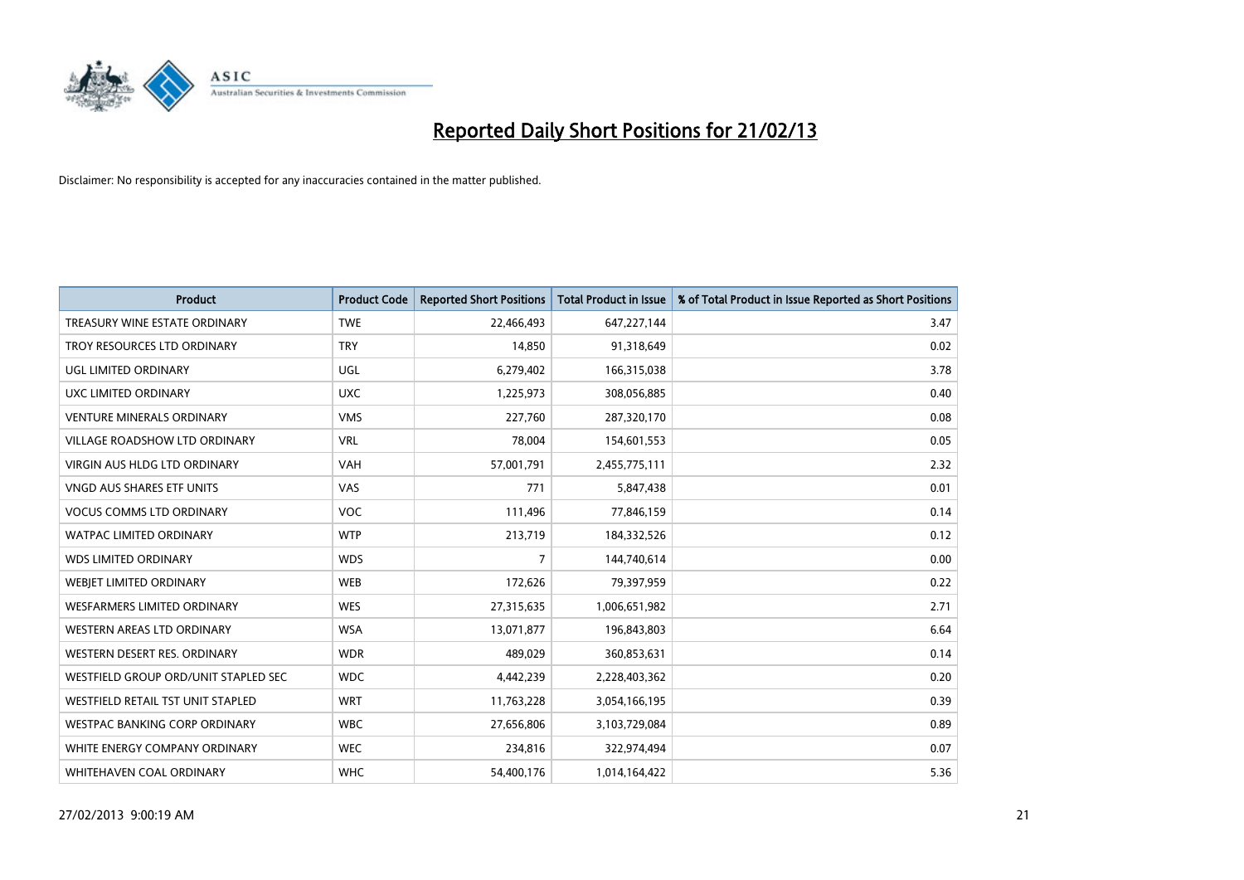

| <b>Product</b>                       | <b>Product Code</b> | <b>Reported Short Positions</b> | <b>Total Product in Issue</b> | % of Total Product in Issue Reported as Short Positions |
|--------------------------------------|---------------------|---------------------------------|-------------------------------|---------------------------------------------------------|
| TREASURY WINE ESTATE ORDINARY        | <b>TWE</b>          | 22,466,493                      | 647,227,144                   | 3.47                                                    |
| TROY RESOURCES LTD ORDINARY          | <b>TRY</b>          | 14,850                          | 91,318,649                    | 0.02                                                    |
| UGL LIMITED ORDINARY                 | UGL                 | 6,279,402                       | 166,315,038                   | 3.78                                                    |
| UXC LIMITED ORDINARY                 | <b>UXC</b>          | 1,225,973                       | 308,056,885                   | 0.40                                                    |
| <b>VENTURE MINERALS ORDINARY</b>     | <b>VMS</b>          | 227,760                         | 287,320,170                   | 0.08                                                    |
| <b>VILLAGE ROADSHOW LTD ORDINARY</b> | <b>VRL</b>          | 78,004                          | 154,601,553                   | 0.05                                                    |
| <b>VIRGIN AUS HLDG LTD ORDINARY</b>  | <b>VAH</b>          | 57,001,791                      | 2,455,775,111                 | 2.32                                                    |
| <b>VNGD AUS SHARES ETF UNITS</b>     | VAS                 | 771                             | 5,847,438                     | 0.01                                                    |
| <b>VOCUS COMMS LTD ORDINARY</b>      | VOC                 | 111,496                         | 77,846,159                    | 0.14                                                    |
| <b>WATPAC LIMITED ORDINARY</b>       | <b>WTP</b>          | 213,719                         | 184,332,526                   | 0.12                                                    |
| <b>WDS LIMITED ORDINARY</b>          | <b>WDS</b>          | $\overline{7}$                  | 144,740,614                   | 0.00                                                    |
| WEBIET LIMITED ORDINARY              | <b>WEB</b>          | 172,626                         | 79,397,959                    | 0.22                                                    |
| <b>WESFARMERS LIMITED ORDINARY</b>   | <b>WES</b>          | 27,315,635                      | 1,006,651,982                 | 2.71                                                    |
| <b>WESTERN AREAS LTD ORDINARY</b>    | <b>WSA</b>          | 13,071,877                      | 196,843,803                   | 6.64                                                    |
| WESTERN DESERT RES. ORDINARY         | <b>WDR</b>          | 489,029                         | 360,853,631                   | 0.14                                                    |
| WESTFIELD GROUP ORD/UNIT STAPLED SEC | <b>WDC</b>          | 4,442,239                       | 2,228,403,362                 | 0.20                                                    |
| WESTFIELD RETAIL TST UNIT STAPLED    | <b>WRT</b>          | 11,763,228                      | 3,054,166,195                 | 0.39                                                    |
| <b>WESTPAC BANKING CORP ORDINARY</b> | <b>WBC</b>          | 27,656,806                      | 3,103,729,084                 | 0.89                                                    |
| WHITE ENERGY COMPANY ORDINARY        | <b>WEC</b>          | 234,816                         | 322,974,494                   | 0.07                                                    |
| WHITEHAVEN COAL ORDINARY             | <b>WHC</b>          | 54,400,176                      | 1,014,164,422                 | 5.36                                                    |